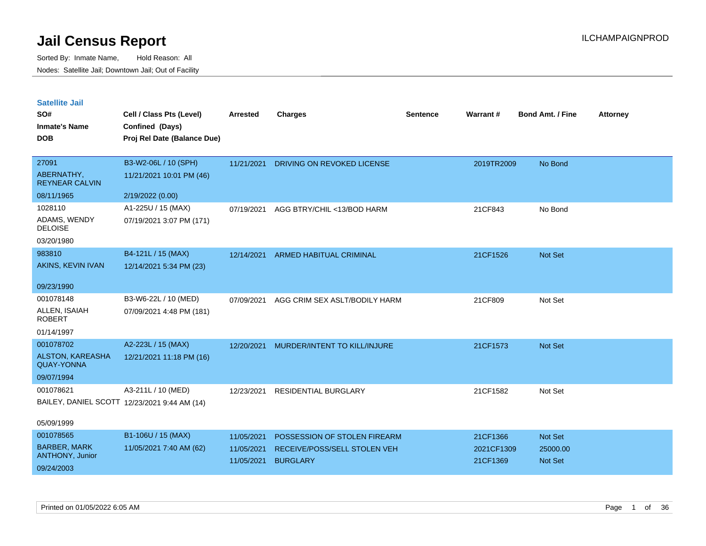| <b>Satellite Jail</b> |  |
|-----------------------|--|
|-----------------------|--|

| SO#<br><b>Inmate's Name</b><br><b>DOB</b>               | Cell / Class Pts (Level)<br>Confined (Days)<br>Proj Rel Date (Balance Due) | Arrested   | Charges                        | Sentence | Warrant#   | <b>Bond Amt. / Fine</b> | <b>Attorney</b> |
|---------------------------------------------------------|----------------------------------------------------------------------------|------------|--------------------------------|----------|------------|-------------------------|-----------------|
| 27091<br>ABERNATHY,<br><b>REYNEAR CALVIN</b>            | B3-W2-06L / 10 (SPH)<br>11/21/2021 10:01 PM (46)                           | 11/21/2021 | DRIVING ON REVOKED LICENSE     |          | 2019TR2009 | No Bond                 |                 |
| 08/11/1965                                              | 2/19/2022 (0.00)                                                           |            |                                |          |            |                         |                 |
| 1028110<br>ADAMS, WENDY<br><b>DELOISE</b><br>03/20/1980 | A1-225U / 15 (MAX)<br>07/19/2021 3:07 PM (171)                             | 07/19/2021 | AGG BTRY/CHIL <13/BOD HARM     |          | 21CF843    | No Bond                 |                 |
| 983810                                                  | B4-121L / 15 (MAX)                                                         | 12/14/2021 | <b>ARMED HABITUAL CRIMINAL</b> |          | 21CF1526   | Not Set                 |                 |
| AKINS, KEVIN IVAN                                       | 12/14/2021 5:34 PM (23)                                                    |            |                                |          |            |                         |                 |
| 09/23/1990                                              |                                                                            |            |                                |          |            |                         |                 |
| 001078148                                               | B3-W6-22L / 10 (MED)                                                       | 07/09/2021 | AGG CRIM SEX ASLT/BODILY HARM  |          | 21CF809    | Not Set                 |                 |
| ALLEN, ISAIAH<br><b>ROBERT</b>                          | 07/09/2021 4:48 PM (181)                                                   |            |                                |          |            |                         |                 |
| 01/14/1997                                              |                                                                            |            |                                |          |            |                         |                 |
| 001078702                                               | A2-223L / 15 (MAX)                                                         | 12/20/2021 | MURDER/INTENT TO KILL/INJURE   |          | 21CF1573   | Not Set                 |                 |
| ALSTON, KAREASHA<br><b>QUAY-YONNA</b>                   | 12/21/2021 11:18 PM (16)                                                   |            |                                |          |            |                         |                 |
| 09/07/1994                                              |                                                                            |            |                                |          |            |                         |                 |
| 001078621                                               | A3-211L / 10 (MED)                                                         | 12/23/2021 | <b>RESIDENTIAL BURGLARY</b>    |          | 21CF1582   | Not Set                 |                 |
|                                                         | BAILEY, DANIEL SCOTT 12/23/2021 9:44 AM (14)                               |            |                                |          |            |                         |                 |
| 05/09/1999                                              |                                                                            |            |                                |          |            |                         |                 |
| 001078565                                               | B1-106U / 15 (MAX)                                                         | 11/05/2021 | POSSESSION OF STOLEN FIREARM   |          | 21CF1366   | Not Set                 |                 |
| <b>BARBER, MARK</b>                                     | 11/05/2021 7:40 AM (62)                                                    | 11/05/2021 | RECEIVE/POSS/SELL STOLEN VEH   |          | 2021CF1309 | 25000.00                |                 |
| ANTHONY, Junior                                         |                                                                            | 11/05/2021 | <b>BURGLARY</b>                |          | 21CF1369   | Not Set                 |                 |
| 09/24/2003                                              |                                                                            |            |                                |          |            |                         |                 |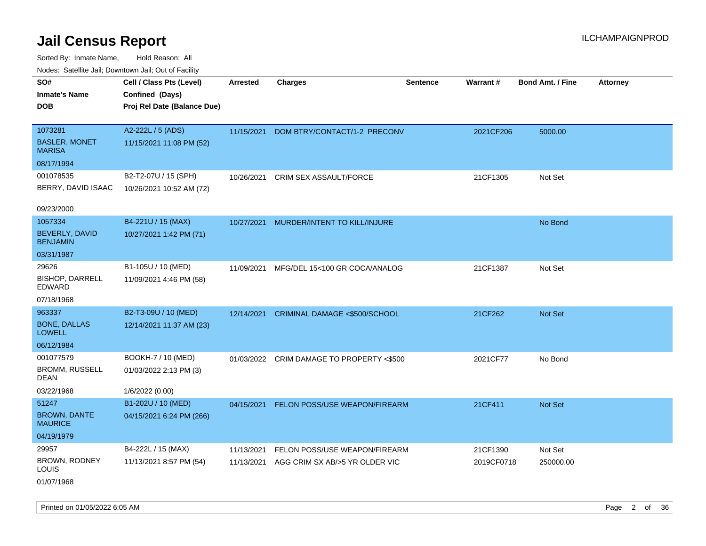Sorted By: Inmate Name, Hold Reason: All Nodes: Satellite Jail; Downtown Jail; Out of Facility

| ivuutos. Saltiilit Jall, Duwilluwii Jall, Oul of Facility |                             |                 |                                |                 |            |                         |                 |
|-----------------------------------------------------------|-----------------------------|-----------------|--------------------------------|-----------------|------------|-------------------------|-----------------|
| SO#                                                       | Cell / Class Pts (Level)    | <b>Arrested</b> | <b>Charges</b>                 | <b>Sentence</b> | Warrant#   | <b>Bond Amt. / Fine</b> | <b>Attorney</b> |
| <b>Inmate's Name</b>                                      | Confined (Days)             |                 |                                |                 |            |                         |                 |
| DOB                                                       | Proj Rel Date (Balance Due) |                 |                                |                 |            |                         |                 |
|                                                           |                             |                 |                                |                 |            |                         |                 |
| 1073281                                                   | A2-222L / 5 (ADS)           | 11/15/2021      | DOM BTRY/CONTACT/1-2 PRECONV   |                 | 2021CF206  | 5000.00                 |                 |
| <b>BASLER, MONET</b><br><b>MARISA</b>                     | 11/15/2021 11:08 PM (52)    |                 |                                |                 |            |                         |                 |
| 08/17/1994                                                |                             |                 |                                |                 |            |                         |                 |
| 001078535                                                 | B2-T2-07U / 15 (SPH)        | 10/26/2021      | <b>CRIM SEX ASSAULT/FORCE</b>  |                 | 21CF1305   | Not Set                 |                 |
| BERRY, DAVID ISAAC                                        | 10/26/2021 10:52 AM (72)    |                 |                                |                 |            |                         |                 |
| 09/23/2000                                                |                             |                 |                                |                 |            |                         |                 |
| 1057334                                                   | B4-221U / 15 (MAX)          | 10/27/2021      | MURDER/INTENT TO KILL/INJURE   |                 |            | No Bond                 |                 |
| BEVERLY, DAVID<br><b>BENJAMIN</b>                         | 10/27/2021 1:42 PM (71)     |                 |                                |                 |            |                         |                 |
| 03/31/1987                                                |                             |                 |                                |                 |            |                         |                 |
| 29626                                                     | B1-105U / 10 (MED)          | 11/09/2021      | MFG/DEL 15<100 GR COCA/ANALOG  |                 | 21CF1387   | Not Set                 |                 |
| <b>BISHOP, DARRELL</b><br>EDWARD                          | 11/09/2021 4:46 PM (58)     |                 |                                |                 |            |                         |                 |
| 07/18/1968                                                |                             |                 |                                |                 |            |                         |                 |
| 963337                                                    | B2-T3-09U / 10 (MED)        | 12/14/2021      | CRIMINAL DAMAGE <\$500/SCHOOL  |                 | 21CF262    | <b>Not Set</b>          |                 |
| <b>BONE, DALLAS</b><br>LOWELL                             | 12/14/2021 11:37 AM (23)    |                 |                                |                 |            |                         |                 |
| 06/12/1984                                                |                             |                 |                                |                 |            |                         |                 |
| 001077579                                                 | BOOKH-7 / 10 (MED)          | 01/03/2022      | CRIM DAMAGE TO PROPERTY <\$500 |                 | 2021CF77   | No Bond                 |                 |
| <b>BROMM, RUSSELL</b><br>DEAN                             | 01/03/2022 2:13 PM (3)      |                 |                                |                 |            |                         |                 |
| 03/22/1968                                                | 1/6/2022 (0.00)             |                 |                                |                 |            |                         |                 |
| 51247                                                     | B1-202U / 10 (MED)          | 04/15/2021      | FELON POSS/USE WEAPON/FIREARM  |                 | 21CF411    | <b>Not Set</b>          |                 |
| <b>BROWN, DANTE</b><br><b>MAURICE</b>                     | 04/15/2021 6:24 PM (266)    |                 |                                |                 |            |                         |                 |
| 04/19/1979                                                |                             |                 |                                |                 |            |                         |                 |
| 29957                                                     | B4-222L / 15 (MAX)          | 11/13/2021      | FELON POSS/USE WEAPON/FIREARM  |                 | 21CF1390   | Not Set                 |                 |
| BROWN, RODNEY<br>LOUIS                                    | 11/13/2021 8:57 PM (54)     | 11/13/2021      | AGG CRIM SX AB/>5 YR OLDER VIC |                 | 2019CF0718 | 250000.00               |                 |
|                                                           |                             |                 |                                |                 |            |                         |                 |

01/07/1968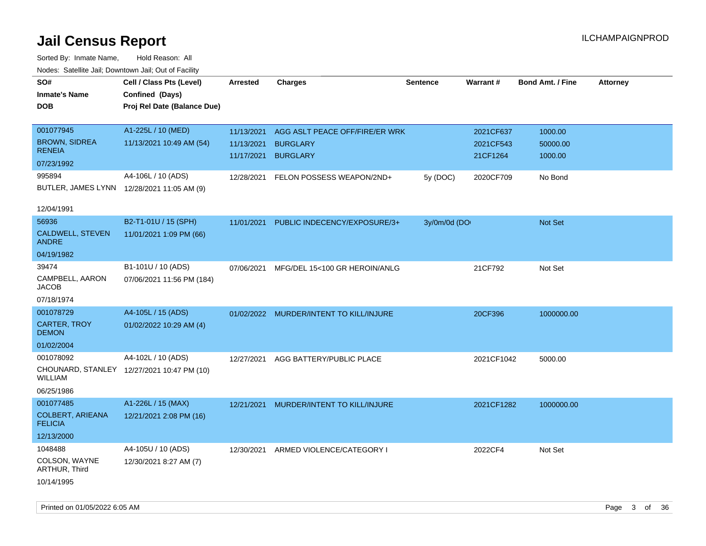| roaco. Catolino dall, Downtown dall, Out of Fability |                                            |            |                                         |                 |                 |                         |                 |
|------------------------------------------------------|--------------------------------------------|------------|-----------------------------------------|-----------------|-----------------|-------------------------|-----------------|
| SO#                                                  | Cell / Class Pts (Level)                   | Arrested   | <b>Charges</b>                          | <b>Sentence</b> | <b>Warrant#</b> | <b>Bond Amt. / Fine</b> | <b>Attorney</b> |
| <b>Inmate's Name</b>                                 | Confined (Days)                            |            |                                         |                 |                 |                         |                 |
| <b>DOB</b>                                           | Proj Rel Date (Balance Due)                |            |                                         |                 |                 |                         |                 |
|                                                      |                                            |            |                                         |                 |                 |                         |                 |
| 001077945                                            | A1-225L / 10 (MED)                         | 11/13/2021 | AGG ASLT PEACE OFF/FIRE/ER WRK          |                 | 2021CF637       | 1000.00                 |                 |
| <b>BROWN, SIDREA</b>                                 | 11/13/2021 10:49 AM (54)                   | 11/13/2021 | <b>BURGLARY</b>                         |                 | 2021CF543       | 50000.00                |                 |
| <b>RENEIA</b>                                        |                                            | 11/17/2021 | <b>BURGLARY</b>                         |                 | 21CF1264        | 1000.00                 |                 |
| 07/23/1992                                           |                                            |            |                                         |                 |                 |                         |                 |
| 995894                                               | A4-106L / 10 (ADS)                         | 12/28/2021 | FELON POSSESS WEAPON/2ND+               | 5y (DOC)        | 2020CF709       | No Bond                 |                 |
|                                                      | BUTLER, JAMES LYNN 12/28/2021 11:05 AM (9) |            |                                         |                 |                 |                         |                 |
|                                                      |                                            |            |                                         |                 |                 |                         |                 |
| 12/04/1991                                           |                                            |            |                                         |                 |                 |                         |                 |
| 56936                                                | B2-T1-01U / 15 (SPH)                       | 11/01/2021 | PUBLIC INDECENCY/EXPOSURE/3+            | 3y/0m/0d (DO    |                 | Not Set                 |                 |
| CALDWELL, STEVEN                                     | 11/01/2021 1:09 PM (66)                    |            |                                         |                 |                 |                         |                 |
| <b>ANDRE</b>                                         |                                            |            |                                         |                 |                 |                         |                 |
| 04/19/1982                                           |                                            |            |                                         |                 |                 |                         |                 |
| 39474                                                | B1-101U / 10 (ADS)                         | 07/06/2021 | MFG/DEL 15<100 GR HEROIN/ANLG           |                 | 21CF792         | Not Set                 |                 |
| CAMPBELL, AARON<br><b>JACOB</b>                      | 07/06/2021 11:56 PM (184)                  |            |                                         |                 |                 |                         |                 |
| 07/18/1974                                           |                                            |            |                                         |                 |                 |                         |                 |
|                                                      |                                            |            |                                         |                 |                 |                         |                 |
| 001078729                                            | A4-105L / 15 (ADS)                         |            | 01/02/2022 MURDER/INTENT TO KILL/INJURE |                 | 20CF396         | 1000000.00              |                 |
| <b>CARTER, TROY</b><br><b>DEMON</b>                  | 01/02/2022 10:29 AM (4)                    |            |                                         |                 |                 |                         |                 |
| 01/02/2004                                           |                                            |            |                                         |                 |                 |                         |                 |
| 001078092                                            | A4-102L / 10 (ADS)                         |            |                                         |                 |                 |                         |                 |
|                                                      | CHOUNARD, STANLEY 12/27/2021 10:47 PM (10) | 12/27/2021 | AGG BATTERY/PUBLIC PLACE                |                 | 2021CF1042      | 5000.00                 |                 |
| <b>WILLIAM</b>                                       |                                            |            |                                         |                 |                 |                         |                 |
| 06/25/1986                                           |                                            |            |                                         |                 |                 |                         |                 |
| 001077485                                            | A1-226L / 15 (MAX)                         | 12/21/2021 | MURDER/INTENT TO KILL/INJURE            |                 | 2021CF1282      | 1000000.00              |                 |
| <b>COLBERT, ARIEANA</b>                              | 12/21/2021 2:08 PM (16)                    |            |                                         |                 |                 |                         |                 |
| <b>FELICIA</b>                                       |                                            |            |                                         |                 |                 |                         |                 |
| 12/13/2000                                           |                                            |            |                                         |                 |                 |                         |                 |
| 1048488                                              | A4-105U / 10 (ADS)                         | 12/30/2021 | ARMED VIOLENCE/CATEGORY I               |                 | 2022CF4         | Not Set                 |                 |
| COLSON, WAYNE                                        | 12/30/2021 8:27 AM (7)                     |            |                                         |                 |                 |                         |                 |
| ARTHUR, Third                                        |                                            |            |                                         |                 |                 |                         |                 |
| 10/14/1995                                           |                                            |            |                                         |                 |                 |                         |                 |
|                                                      |                                            |            |                                         |                 |                 |                         |                 |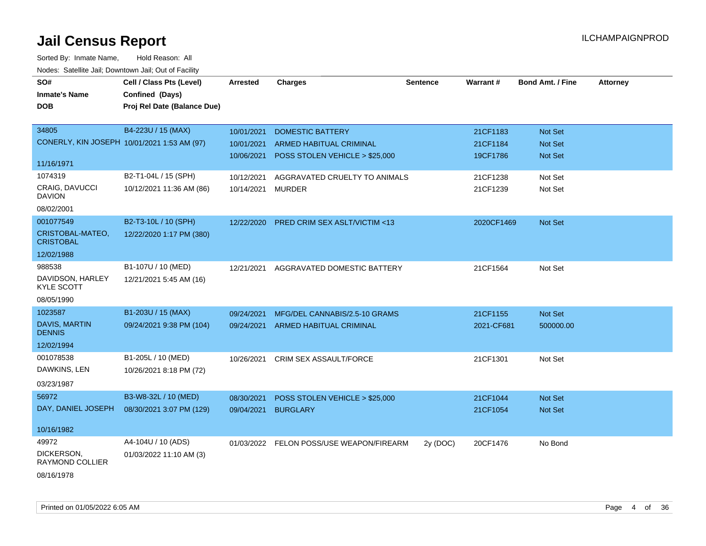| roaco. Catolino cali, Downtown cali, Out of Facility |                             |                 |                                |                 |                 |                         |                 |
|------------------------------------------------------|-----------------------------|-----------------|--------------------------------|-----------------|-----------------|-------------------------|-----------------|
| SO#                                                  | Cell / Class Pts (Level)    | <b>Arrested</b> | <b>Charges</b>                 | <b>Sentence</b> | <b>Warrant#</b> | <b>Bond Amt. / Fine</b> | <b>Attorney</b> |
| <b>Inmate's Name</b>                                 | Confined (Days)             |                 |                                |                 |                 |                         |                 |
| <b>DOB</b>                                           | Proj Rel Date (Balance Due) |                 |                                |                 |                 |                         |                 |
|                                                      |                             |                 |                                |                 |                 |                         |                 |
| 34805                                                | B4-223U / 15 (MAX)          | 10/01/2021      | <b>DOMESTIC BATTERY</b>        |                 | 21CF1183        | Not Set                 |                 |
| CONERLY, KIN JOSEPH 10/01/2021 1:53 AM (97)          |                             | 10/01/2021      | ARMED HABITUAL CRIMINAL        |                 | 21CF1184        | Not Set                 |                 |
|                                                      |                             | 10/06/2021      | POSS STOLEN VEHICLE > \$25,000 |                 | 19CF1786        | Not Set                 |                 |
| 11/16/1971                                           |                             |                 |                                |                 |                 |                         |                 |
| 1074319                                              | B2-T1-04L / 15 (SPH)        | 10/12/2021      | AGGRAVATED CRUELTY TO ANIMALS  |                 | 21CF1238        | Not Set                 |                 |
| <b>CRAIG, DAVUCCI</b><br><b>DAVION</b>               | 10/12/2021 11:36 AM (86)    | 10/14/2021      | <b>MURDER</b>                  |                 | 21CF1239        | Not Set                 |                 |
| 08/02/2001                                           |                             |                 |                                |                 |                 |                         |                 |
| 001077549                                            | B2-T3-10L / 10 (SPH)        | 12/22/2020      | PRED CRIM SEX ASLT/VICTIM <13  |                 | 2020CF1469      | Not Set                 |                 |
| CRISTOBAL-MATEO,<br><b>CRISTOBAL</b>                 | 12/22/2020 1:17 PM (380)    |                 |                                |                 |                 |                         |                 |
| 12/02/1988                                           |                             |                 |                                |                 |                 |                         |                 |
| 988538                                               | B1-107U / 10 (MED)          | 12/21/2021      | AGGRAVATED DOMESTIC BATTERY    |                 | 21CF1564        | Not Set                 |                 |
| DAVIDSON, HARLEY<br><b>KYLE SCOTT</b>                | 12/21/2021 5:45 AM (16)     |                 |                                |                 |                 |                         |                 |
| 08/05/1990                                           |                             |                 |                                |                 |                 |                         |                 |
| 1023587                                              | B1-203U / 15 (MAX)          | 09/24/2021      | MFG/DEL CANNABIS/2.5-10 GRAMS  |                 | 21CF1155        | Not Set                 |                 |
| <b>DAVIS, MARTIN</b><br><b>DENNIS</b>                | 09/24/2021 9:38 PM (104)    | 09/24/2021      | ARMED HABITUAL CRIMINAL        |                 | 2021-CF681      | 500000.00               |                 |
| 12/02/1994                                           |                             |                 |                                |                 |                 |                         |                 |
| 001078538                                            | B1-205L / 10 (MED)          | 10/26/2021      | CRIM SEX ASSAULT/FORCE         |                 | 21CF1301        | Not Set                 |                 |
| DAWKINS, LEN                                         | 10/26/2021 8:18 PM (72)     |                 |                                |                 |                 |                         |                 |
| 03/23/1987                                           |                             |                 |                                |                 |                 |                         |                 |
| 56972                                                | B3-W8-32L / 10 (MED)        | 08/30/2021      | POSS STOLEN VEHICLE > \$25,000 |                 | 21CF1044        | Not Set                 |                 |
| DAY, DANIEL JOSEPH                                   | 08/30/2021 3:07 PM (129)    | 09/04/2021      | <b>BURGLARY</b>                |                 | 21CF1054        | Not Set                 |                 |
|                                                      |                             |                 |                                |                 |                 |                         |                 |
| 10/16/1982                                           |                             |                 |                                |                 |                 |                         |                 |
| 49972                                                | A4-104U / 10 (ADS)          | 01/03/2022      | FELON POSS/USE WEAPON/FIREARM  | 2y (DOC)        | 20CF1476        | No Bond                 |                 |
| DICKERSON,<br>RAYMOND COLLIER                        | 01/03/2022 11:10 AM (3)     |                 |                                |                 |                 |                         |                 |
| 08/16/1978                                           |                             |                 |                                |                 |                 |                         |                 |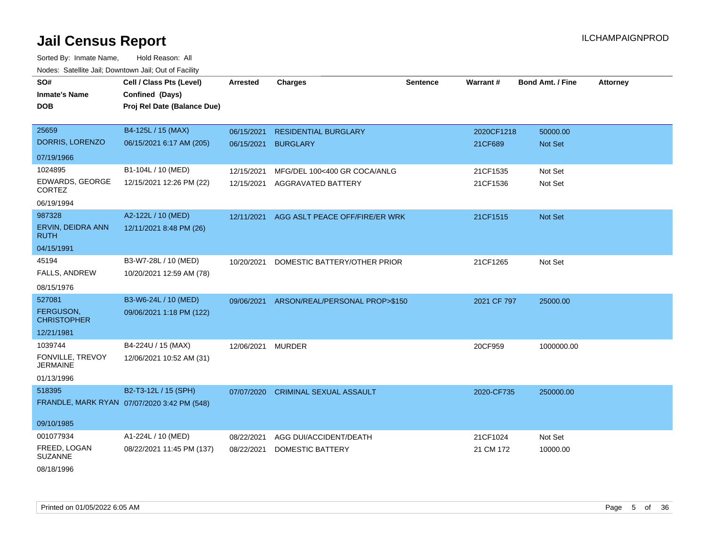| roaco. Calcinio dan, Downtown dan, Out or Fability |                                             |                 |                                |                 |                 |                         |                 |
|----------------------------------------------------|---------------------------------------------|-----------------|--------------------------------|-----------------|-----------------|-------------------------|-----------------|
| SO#                                                | Cell / Class Pts (Level)                    | <b>Arrested</b> | Charges                        | <b>Sentence</b> | <b>Warrant#</b> | <b>Bond Amt. / Fine</b> | <b>Attorney</b> |
| <b>Inmate's Name</b>                               | Confined (Days)                             |                 |                                |                 |                 |                         |                 |
| <b>DOB</b>                                         | Proj Rel Date (Balance Due)                 |                 |                                |                 |                 |                         |                 |
|                                                    |                                             |                 |                                |                 |                 |                         |                 |
| 25659                                              | B4-125L / 15 (MAX)                          | 06/15/2021      | <b>RESIDENTIAL BURGLARY</b>    |                 | 2020CF1218      | 50000.00                |                 |
| DORRIS, LORENZO                                    | 06/15/2021 6:17 AM (205)                    | 06/15/2021      | <b>BURGLARY</b>                |                 | 21CF689         | Not Set                 |                 |
| 07/19/1966                                         |                                             |                 |                                |                 |                 |                         |                 |
| 1024895                                            | B1-104L / 10 (MED)                          | 12/15/2021      | MFG/DEL 100<400 GR COCA/ANLG   |                 | 21CF1535        | Not Set                 |                 |
| EDWARDS, GEORGE<br><b>CORTEZ</b>                   | 12/15/2021 12:26 PM (22)                    | 12/15/2021      | <b>AGGRAVATED BATTERY</b>      |                 | 21CF1536        | Not Set                 |                 |
| 06/19/1994                                         |                                             |                 |                                |                 |                 |                         |                 |
| 987328                                             | A2-122L / 10 (MED)                          | 12/11/2021      | AGG ASLT PEACE OFF/FIRE/ER WRK |                 | 21CF1515        | Not Set                 |                 |
| ERVIN, DEIDRA ANN<br>RUTH                          | 12/11/2021 8:48 PM (26)                     |                 |                                |                 |                 |                         |                 |
| 04/15/1991                                         |                                             |                 |                                |                 |                 |                         |                 |
| 45194                                              | B3-W7-28L / 10 (MED)                        | 10/20/2021      | DOMESTIC BATTERY/OTHER PRIOR   |                 | 21CF1265        | Not Set                 |                 |
| <b>FALLS, ANDREW</b>                               | 10/20/2021 12:59 AM (78)                    |                 |                                |                 |                 |                         |                 |
| 08/15/1976                                         |                                             |                 |                                |                 |                 |                         |                 |
| 527081                                             | B3-W6-24L / 10 (MED)                        | 09/06/2021      | ARSON/REAL/PERSONAL PROP>\$150 |                 | 2021 CF 797     | 25000.00                |                 |
| FERGUSON,<br><b>CHRISTOPHER</b>                    | 09/06/2021 1:18 PM (122)                    |                 |                                |                 |                 |                         |                 |
| 12/21/1981                                         |                                             |                 |                                |                 |                 |                         |                 |
| 1039744                                            | B4-224U / 15 (MAX)                          | 12/06/2021      | <b>MURDER</b>                  |                 | 20CF959         | 1000000.00              |                 |
| FONVILLE, TREVOY<br><b>JERMAINE</b>                | 12/06/2021 10:52 AM (31)                    |                 |                                |                 |                 |                         |                 |
| 01/13/1996                                         |                                             |                 |                                |                 |                 |                         |                 |
| 518395                                             | B2-T3-12L / 15 (SPH)                        | 07/07/2020      | <b>CRIMINAL SEXUAL ASSAULT</b> |                 | 2020-CF735      | 250000.00               |                 |
|                                                    | FRANDLE, MARK RYAN 07/07/2020 3:42 PM (548) |                 |                                |                 |                 |                         |                 |
| 09/10/1985                                         |                                             |                 |                                |                 |                 |                         |                 |
| 001077934                                          | A1-224L / 10 (MED)                          | 08/22/2021      | AGG DUI/ACCIDENT/DEATH         |                 | 21CF1024        | Not Set                 |                 |
| FREED, LOGAN<br><b>SUZANNE</b>                     | 08/22/2021 11:45 PM (137)                   | 08/22/2021      | DOMESTIC BATTERY               |                 | 21 CM 172       | 10000.00                |                 |
| 08/18/1996                                         |                                             |                 |                                |                 |                 |                         |                 |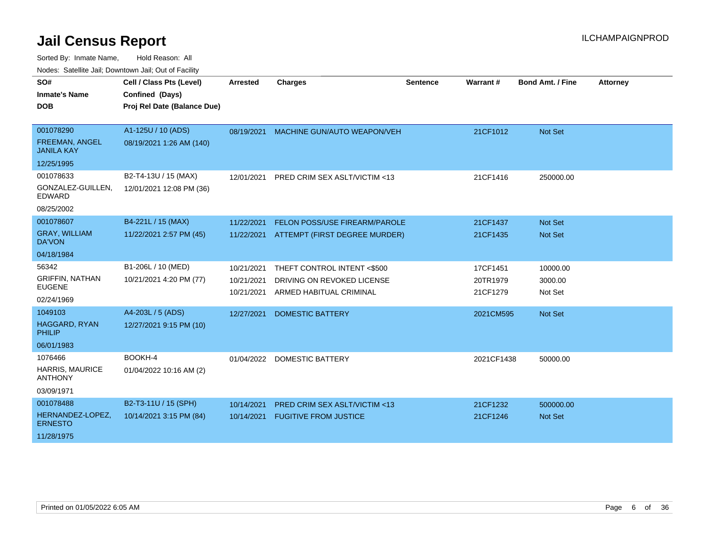| Nuuts. Saltiille Jall, Duwilluwii Jall, Oul of Facility |                             |                          |                                                       |                 |                      |                         |                 |
|---------------------------------------------------------|-----------------------------|--------------------------|-------------------------------------------------------|-----------------|----------------------|-------------------------|-----------------|
| SO#                                                     | Cell / Class Pts (Level)    | <b>Arrested</b>          | <b>Charges</b>                                        | <b>Sentence</b> | Warrant#             | <b>Bond Amt. / Fine</b> | <b>Attorney</b> |
| <b>Inmate's Name</b>                                    | Confined (Days)             |                          |                                                       |                 |                      |                         |                 |
| <b>DOB</b>                                              | Proj Rel Date (Balance Due) |                          |                                                       |                 |                      |                         |                 |
|                                                         |                             |                          |                                                       |                 |                      |                         |                 |
| 001078290                                               | A1-125U / 10 (ADS)          | 08/19/2021               | <b>MACHINE GUN/AUTO WEAPON/VEH</b>                    |                 | 21CF1012             | Not Set                 |                 |
| FREEMAN, ANGEL<br><b>JANILA KAY</b>                     | 08/19/2021 1:26 AM (140)    |                          |                                                       |                 |                      |                         |                 |
| 12/25/1995                                              |                             |                          |                                                       |                 |                      |                         |                 |
| 001078633                                               | B2-T4-13U / 15 (MAX)        | 12/01/2021               | PRED CRIM SEX ASLT/VICTIM <13                         |                 | 21CF1416             | 250000.00               |                 |
| GONZALEZ-GUILLEN,<br><b>EDWARD</b>                      | 12/01/2021 12:08 PM (36)    |                          |                                                       |                 |                      |                         |                 |
| 08/25/2002                                              |                             |                          |                                                       |                 |                      |                         |                 |
| 001078607                                               | B4-221L / 15 (MAX)          | 11/22/2021               | FELON POSS/USE FIREARM/PAROLE                         |                 | 21CF1437             | Not Set                 |                 |
| <b>GRAY, WILLIAM</b><br>DA'VON                          | 11/22/2021 2:57 PM (45)     | 11/22/2021               | ATTEMPT (FIRST DEGREE MURDER)                         |                 | 21CF1435             | Not Set                 |                 |
| 04/18/1984                                              |                             |                          |                                                       |                 |                      |                         |                 |
| 56342                                                   | B1-206L / 10 (MED)          | 10/21/2021               | THEFT CONTROL INTENT <\$500                           |                 | 17CF1451             | 10000.00                |                 |
| <b>GRIFFIN, NATHAN</b><br><b>EUGENE</b>                 | 10/21/2021 4:20 PM (77)     | 10/21/2021<br>10/21/2021 | DRIVING ON REVOKED LICENSE<br>ARMED HABITUAL CRIMINAL |                 | 20TR1979<br>21CF1279 | 3000.00<br>Not Set      |                 |
| 02/24/1969                                              |                             |                          |                                                       |                 |                      |                         |                 |
| 1049103                                                 | A4-203L / 5 (ADS)           | 12/27/2021               | <b>DOMESTIC BATTERY</b>                               |                 | 2021CM595            | Not Set                 |                 |
| <b>HAGGARD, RYAN</b><br><b>PHILIP</b>                   | 12/27/2021 9:15 PM (10)     |                          |                                                       |                 |                      |                         |                 |
| 06/01/1983                                              |                             |                          |                                                       |                 |                      |                         |                 |
| 1076466                                                 | BOOKH-4                     | 01/04/2022               | <b>DOMESTIC BATTERY</b>                               |                 | 2021CF1438           | 50000.00                |                 |
| <b>HARRIS, MAURICE</b><br><b>ANTHONY</b>                | 01/04/2022 10:16 AM (2)     |                          |                                                       |                 |                      |                         |                 |
| 03/09/1971                                              |                             |                          |                                                       |                 |                      |                         |                 |
| 001078488                                               | B2-T3-11U / 15 (SPH)        | 10/14/2021               | PRED CRIM SEX ASLT/VICTIM <13                         |                 | 21CF1232             | 500000.00               |                 |
| HERNANDEZ-LOPEZ,<br><b>ERNESTO</b>                      | 10/14/2021 3:15 PM (84)     | 10/14/2021               | <b>FUGITIVE FROM JUSTICE</b>                          |                 | 21CF1246             | <b>Not Set</b>          |                 |
| 11/28/1975                                              |                             |                          |                                                       |                 |                      |                         |                 |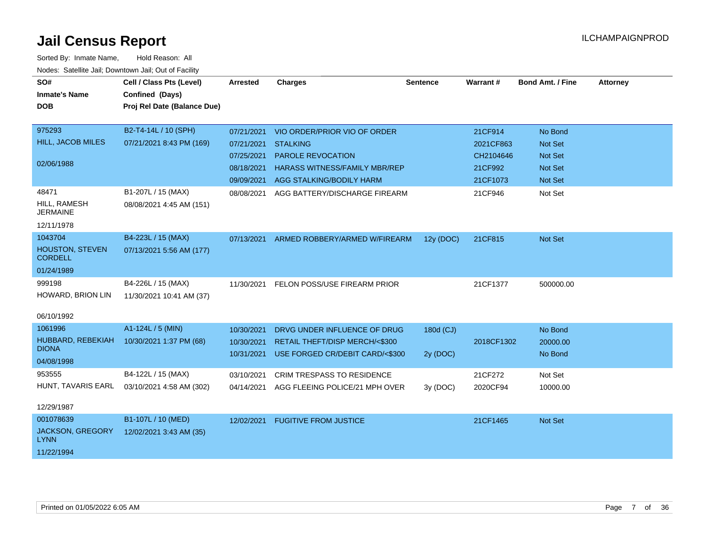| SO#<br><b>Inmate's Name</b><br><b>DOB</b>                         | Cell / Class Pts (Level)<br>Confined (Days)<br>Proj Rel Date (Balance Due) | Arrested                                                           | <b>Charges</b>                                                                                                                                  | <b>Sentence</b>       | Warrant#                                                 | <b>Bond Amt. / Fine</b>                                    | <b>Attorney</b> |
|-------------------------------------------------------------------|----------------------------------------------------------------------------|--------------------------------------------------------------------|-------------------------------------------------------------------------------------------------------------------------------------------------|-----------------------|----------------------------------------------------------|------------------------------------------------------------|-----------------|
| 975293<br>HILL, JACOB MILES<br>02/06/1988                         | B2-T4-14L / 10 (SPH)<br>07/21/2021 8:43 PM (169)                           | 07/21/2021<br>07/21/2021<br>07/25/2021<br>08/18/2021<br>09/09/2021 | VIO ORDER/PRIOR VIO OF ORDER<br><b>STALKING</b><br><b>PAROLE REVOCATION</b><br><b>HARASS WITNESS/FAMILY MBR/REP</b><br>AGG STALKING/BODILY HARM |                       | 21CF914<br>2021CF863<br>CH2104646<br>21CF992<br>21CF1073 | No Bond<br>Not Set<br><b>Not Set</b><br>Not Set<br>Not Set |                 |
| 48471<br>HILL, RAMESH<br><b>JERMAINE</b><br>12/11/1978            | B1-207L / 15 (MAX)<br>08/08/2021 4:45 AM (151)                             | 08/08/2021                                                         | AGG BATTERY/DISCHARGE FIREARM                                                                                                                   |                       | 21CF946                                                  | Not Set                                                    |                 |
| 1043704<br><b>HOUSTON, STEVEN</b><br><b>CORDELL</b><br>01/24/1989 | B4-223L / 15 (MAX)<br>07/13/2021 5:56 AM (177)                             | 07/13/2021                                                         | ARMED ROBBERY/ARMED W/FIREARM                                                                                                                   | 12y (DOC)             | 21CF815                                                  | Not Set                                                    |                 |
| 999198<br>HOWARD, BRION LIN<br>06/10/1992                         | B4-226L / 15 (MAX)<br>11/30/2021 10:41 AM (37)                             | 11/30/2021                                                         | FELON POSS/USE FIREARM PRIOR                                                                                                                    |                       | 21CF1377                                                 | 500000.00                                                  |                 |
| 1061996<br>HUBBARD, REBEKIAH<br><b>DIONA</b><br>04/08/1998        | A1-124L / 5 (MIN)<br>10/30/2021 1:37 PM (68)                               | 10/30/2021<br>10/30/2021<br>10/31/2021                             | DRVG UNDER INFLUENCE OF DRUG<br>RETAIL THEFT/DISP MERCH/<\$300<br>USE FORGED CR/DEBIT CARD/<\$300                                               | 180d (CJ)<br>2y (DOC) | 2018CF1302                                               | No Bond<br>20000.00<br>No Bond                             |                 |
| 953555<br>HUNT, TAVARIS EARL<br>12/29/1987                        | B4-122L / 15 (MAX)<br>03/10/2021 4:58 AM (302)                             | 03/10/2021<br>04/14/2021                                           | <b>CRIM TRESPASS TO RESIDENCE</b><br>AGG FLEEING POLICE/21 MPH OVER                                                                             | 3y (DOC)              | 21CF272<br>2020CF94                                      | Not Set<br>10000.00                                        |                 |
| 001078639<br>JACKSON, GREGORY<br><b>LYNN</b><br>11/22/1994        | B1-107L / 10 (MED)<br>12/02/2021 3:43 AM (35)                              | 12/02/2021                                                         | <b>FUGITIVE FROM JUSTICE</b>                                                                                                                    |                       | 21CF1465                                                 | Not Set                                                    |                 |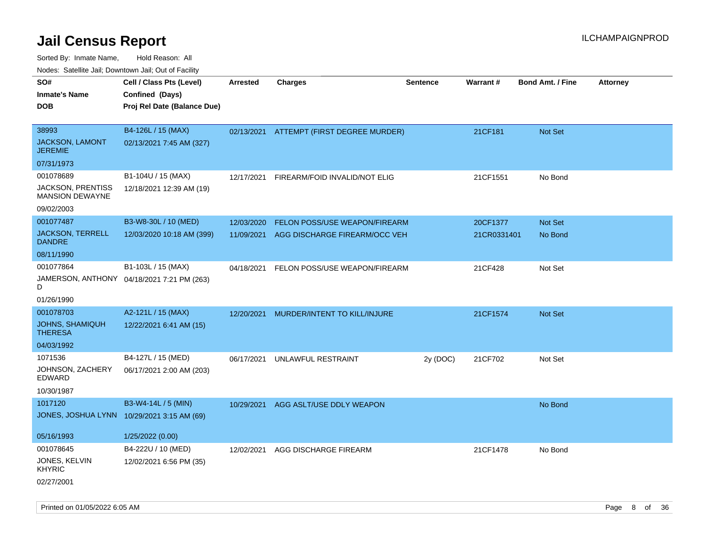Sorted By: Inmate Name, Hold Reason: All Nodes: Satellite Jail; Downtown Jail; Out of Facility

| rouco. Calcillo Jali, Downtown Jali, Out of Facility |                                            |                 |                                          |                 |             |                         |                 |
|------------------------------------------------------|--------------------------------------------|-----------------|------------------------------------------|-----------------|-------------|-------------------------|-----------------|
| SO#                                                  | Cell / Class Pts (Level)                   | <b>Arrested</b> | <b>Charges</b>                           | <b>Sentence</b> | Warrant#    | <b>Bond Amt. / Fine</b> | <b>Attorney</b> |
| Inmate's Name                                        | Confined (Days)                            |                 |                                          |                 |             |                         |                 |
| DOB                                                  | Proj Rel Date (Balance Due)                |                 |                                          |                 |             |                         |                 |
|                                                      |                                            |                 |                                          |                 |             |                         |                 |
| 38993                                                | B4-126L / 15 (MAX)                         |                 | 02/13/2021 ATTEMPT (FIRST DEGREE MURDER) |                 | 21CF181     | <b>Not Set</b>          |                 |
| JACKSON, LAMONT<br><b>JEREMIE</b>                    | 02/13/2021 7:45 AM (327)                   |                 |                                          |                 |             |                         |                 |
| 07/31/1973                                           |                                            |                 |                                          |                 |             |                         |                 |
| 001078689                                            | B1-104U / 15 (MAX)                         | 12/17/2021      | FIREARM/FOID INVALID/NOT ELIG            |                 | 21CF1551    | No Bond                 |                 |
| JACKSON, PRENTISS<br><b>MANSION DEWAYNE</b>          | 12/18/2021 12:39 AM (19)                   |                 |                                          |                 |             |                         |                 |
| 09/02/2003                                           |                                            |                 |                                          |                 |             |                         |                 |
| 001077487                                            | B3-W8-30L / 10 (MED)                       | 12/03/2020      | FELON POSS/USE WEAPON/FIREARM            |                 | 20CF1377    | Not Set                 |                 |
| JACKSON, TERRELL<br><b>DANDRE</b>                    | 12/03/2020 10:18 AM (399)                  | 11/09/2021      | AGG DISCHARGE FIREARM/OCC VEH            |                 | 21CR0331401 | No Bond                 |                 |
| 08/11/1990                                           |                                            |                 |                                          |                 |             |                         |                 |
| 001077864                                            | B1-103L / 15 (MAX)                         | 04/18/2021      | FELON POSS/USE WEAPON/FIREARM            |                 | 21CF428     | Not Set                 |                 |
| D                                                    | JAMERSON, ANTHONY 04/18/2021 7:21 PM (263) |                 |                                          |                 |             |                         |                 |
| 01/26/1990                                           |                                            |                 |                                          |                 |             |                         |                 |
| 001078703                                            | A2-121L / 15 (MAX)                         | 12/20/2021      | MURDER/INTENT TO KILL/INJURE             |                 | 21CF1574    | <b>Not Set</b>          |                 |
| <b>JOHNS, SHAMIQUH</b><br>THERESA                    | 12/22/2021 6:41 AM (15)                    |                 |                                          |                 |             |                         |                 |
| 04/03/1992                                           |                                            |                 |                                          |                 |             |                         |                 |
| 1071536                                              | B4-127L / 15 (MED)                         | 06/17/2021      | UNLAWFUL RESTRAINT                       | 2y (DOC)        | 21CF702     | Not Set                 |                 |
| JOHNSON, ZACHERY<br>EDWARD                           | 06/17/2021 2:00 AM (203)                   |                 |                                          |                 |             |                         |                 |
| 10/30/1987                                           |                                            |                 |                                          |                 |             |                         |                 |
| 1017120                                              | B3-W4-14L / 5 (MIN)                        |                 | 10/29/2021 AGG ASLT/USE DDLY WEAPON      |                 |             | No Bond                 |                 |
|                                                      | JONES, JOSHUA LYNN 10/29/2021 3:15 AM (69) |                 |                                          |                 |             |                         |                 |
|                                                      |                                            |                 |                                          |                 |             |                         |                 |
| 05/16/1993                                           | 1/25/2022 (0.00)                           |                 |                                          |                 |             |                         |                 |
| 001078645                                            | B4-222U / 10 (MED)                         | 12/02/2021      | AGG DISCHARGE FIREARM                    |                 | 21CF1478    | No Bond                 |                 |
| JONES, KELVIN<br>KHYRIC                              | 12/02/2021 6:56 PM (35)                    |                 |                                          |                 |             |                         |                 |
| 02/27/2001                                           |                                            |                 |                                          |                 |             |                         |                 |

Printed on 01/05/2022 6:05 AM **Page 8 of 36**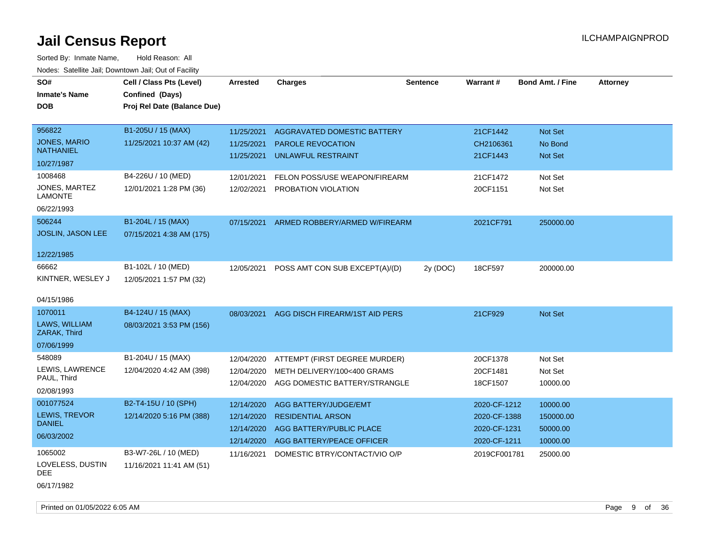| roaco. Catolino cali, Domntonn cali, Out of Facility |                             |            |                                |                 |              |                         |                 |
|------------------------------------------------------|-----------------------------|------------|--------------------------------|-----------------|--------------|-------------------------|-----------------|
| SO#                                                  | Cell / Class Pts (Level)    | Arrested   | <b>Charges</b>                 | <b>Sentence</b> | Warrant#     | <b>Bond Amt. / Fine</b> | <b>Attorney</b> |
| <b>Inmate's Name</b>                                 | Confined (Days)             |            |                                |                 |              |                         |                 |
| <b>DOB</b>                                           | Proj Rel Date (Balance Due) |            |                                |                 |              |                         |                 |
|                                                      |                             |            |                                |                 |              |                         |                 |
| 956822                                               | B1-205U / 15 (MAX)          | 11/25/2021 | AGGRAVATED DOMESTIC BATTERY    |                 | 21CF1442     | Not Set                 |                 |
| <b>JONES, MARIO</b>                                  | 11/25/2021 10:37 AM (42)    | 11/25/2021 | <b>PAROLE REVOCATION</b>       |                 | CH2106361    | No Bond                 |                 |
| <b>NATHANIEL</b>                                     |                             | 11/25/2021 | UNLAWFUL RESTRAINT             |                 | 21CF1443     | Not Set                 |                 |
| 10/27/1987                                           |                             |            |                                |                 |              |                         |                 |
| 1008468                                              | B4-226U / 10 (MED)          | 12/01/2021 | FELON POSS/USE WEAPON/FIREARM  |                 | 21CF1472     | Not Set                 |                 |
| JONES, MARTEZ<br><b>LAMONTE</b>                      | 12/01/2021 1:28 PM (36)     | 12/02/2021 | PROBATION VIOLATION            |                 | 20CF1151     | Not Set                 |                 |
| 06/22/1993                                           |                             |            |                                |                 |              |                         |                 |
| 506244                                               | B1-204L / 15 (MAX)          | 07/15/2021 | ARMED ROBBERY/ARMED W/FIREARM  |                 | 2021CF791    | 250000.00               |                 |
| <b>JOSLIN, JASON LEE</b>                             | 07/15/2021 4:38 AM (175)    |            |                                |                 |              |                         |                 |
| 12/22/1985                                           |                             |            |                                |                 |              |                         |                 |
| 66662                                                | B1-102L / 10 (MED)          | 12/05/2021 | POSS AMT CON SUB EXCEPT(A)/(D) | 2y (DOC)        | 18CF597      | 200000.00               |                 |
| KINTNER, WESLEY J                                    | 12/05/2021 1:57 PM (32)     |            |                                |                 |              |                         |                 |
|                                                      |                             |            |                                |                 |              |                         |                 |
| 04/15/1986                                           |                             |            |                                |                 |              |                         |                 |
| 1070011                                              | B4-124U / 15 (MAX)          | 08/03/2021 | AGG DISCH FIREARM/1ST AID PERS |                 | 21CF929      | <b>Not Set</b>          |                 |
| LAWS, WILLIAM<br>ZARAK, Third                        | 08/03/2021 3:53 PM (156)    |            |                                |                 |              |                         |                 |
| 07/06/1999                                           |                             |            |                                |                 |              |                         |                 |
| 548089                                               | B1-204U / 15 (MAX)          | 12/04/2020 | ATTEMPT (FIRST DEGREE MURDER)  |                 | 20CF1378     | Not Set                 |                 |
| LEWIS, LAWRENCE                                      | 12/04/2020 4:42 AM (398)    | 12/04/2020 | METH DELIVERY/100<400 GRAMS    |                 | 20CF1481     | Not Set                 |                 |
| PAUL, Third                                          |                             | 12/04/2020 | AGG DOMESTIC BATTERY/STRANGLE  |                 | 18CF1507     | 10000.00                |                 |
| 02/08/1993                                           |                             |            |                                |                 |              |                         |                 |
| 001077524                                            | B2-T4-15U / 10 (SPH)        | 12/14/2020 | AGG BATTERY/JUDGE/EMT          |                 | 2020-CF-1212 | 10000.00                |                 |
| LEWIS, TREVOR                                        | 12/14/2020 5:16 PM (388)    | 12/14/2020 | <b>RESIDENTIAL ARSON</b>       |                 | 2020-CF-1388 | 150000.00               |                 |
| <b>DANIEL</b>                                        |                             | 12/14/2020 | AGG BATTERY/PUBLIC PLACE       |                 | 2020-CF-1231 | 50000.00                |                 |
| 06/03/2002                                           |                             | 12/14/2020 | AGG BATTERY/PEACE OFFICER      |                 | 2020-CF-1211 | 10000.00                |                 |
| 1065002                                              | B3-W7-26L / 10 (MED)        | 11/16/2021 | DOMESTIC BTRY/CONTACT/VIO O/P  |                 | 2019CF001781 | 25000.00                |                 |
| LOVELESS, DUSTIN<br>DEE                              | 11/16/2021 11:41 AM (51)    |            |                                |                 |              |                         |                 |
| 06/17/1982                                           |                             |            |                                |                 |              |                         |                 |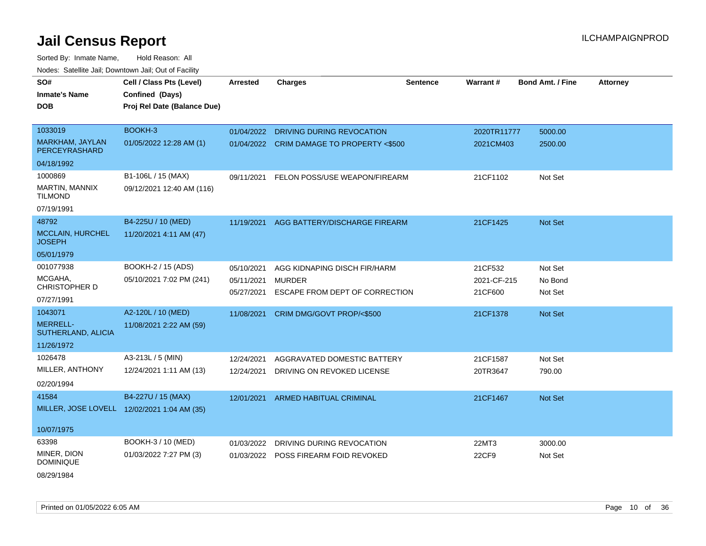Sorted By: Inmate Name, Hold Reason: All Nodes: Satellite Jail; Downtown Jail; Out of Facility

| SO#                                         | Cell / Class Pts (Level)    | <b>Arrested</b>          | <b>Charges</b>                                  | <b>Sentence</b> | Warrant#               | Bond Amt. / Fine   | <b>Attorney</b> |
|---------------------------------------------|-----------------------------|--------------------------|-------------------------------------------------|-----------------|------------------------|--------------------|-----------------|
| <b>Inmate's Name</b>                        | Confined (Days)             |                          |                                                 |                 |                        |                    |                 |
| DOB                                         | Proj Rel Date (Balance Due) |                          |                                                 |                 |                        |                    |                 |
|                                             |                             |                          |                                                 |                 |                        |                    |                 |
| 1033019                                     | BOOKH-3                     | 01/04/2022               | DRIVING DURING REVOCATION                       |                 | 2020TR11777            | 5000.00            |                 |
| <b>MARKHAM, JAYLAN</b><br>PERCEYRASHARD     | 01/05/2022 12:28 AM (1)     | 01/04/2022               | <b>CRIM DAMAGE TO PROPERTY &lt;\$500</b>        |                 | 2021CM403              | 2500.00            |                 |
| 04/18/1992                                  |                             |                          |                                                 |                 |                        |                    |                 |
| 1000869                                     | B1-106L / 15 (MAX)          | 09/11/2021               | FELON POSS/USE WEAPON/FIREARM                   |                 | 21CF1102               | Not Set            |                 |
| MARTIN, MANNIX<br><b>TILMOND</b>            | 09/12/2021 12:40 AM (116)   |                          |                                                 |                 |                        |                    |                 |
| 07/19/1991                                  |                             |                          |                                                 |                 |                        |                    |                 |
| 48792                                       | B4-225U / 10 (MED)          | 11/19/2021               | AGG BATTERY/DISCHARGE FIREARM                   |                 | 21CF1425               | Not Set            |                 |
| MCCLAIN, HURCHEL<br><b>JOSEPH</b>           | 11/20/2021 4:11 AM (47)     |                          |                                                 |                 |                        |                    |                 |
| 05/01/1979                                  |                             |                          |                                                 |                 |                        |                    |                 |
| 001077938                                   | BOOKH-2 / 15 (ADS)          | 05/10/2021               | AGG KIDNAPING DISCH FIR/HARM                    |                 | 21CF532                | Not Set            |                 |
| MCGAHA,<br>CHRISTOPHER D                    | 05/10/2021 7:02 PM (241)    | 05/11/2021<br>05/27/2021 | <b>MURDER</b><br>ESCAPE FROM DEPT OF CORRECTION |                 | 2021-CF-215<br>21CF600 | No Bond<br>Not Set |                 |
| 07/27/1991                                  |                             |                          |                                                 |                 |                        |                    |                 |
| 1043071                                     | A2-120L / 10 (MED)          | 11/08/2021               | CRIM DMG/GOVT PROP/<\$500                       |                 | 21CF1378               | Not Set            |                 |
| <b>MERRELL-</b><br>SUTHERLAND, ALICIA       | 11/08/2021 2:22 AM (59)     |                          |                                                 |                 |                        |                    |                 |
| 11/26/1972                                  |                             |                          |                                                 |                 |                        |                    |                 |
| 1026478                                     | A3-213L / 5 (MIN)           | 12/24/2021               | AGGRAVATED DOMESTIC BATTERY                     |                 | 21CF1587               | Not Set            |                 |
| MILLER, ANTHONY                             | 12/24/2021 1:11 AM (13)     | 12/24/2021               | DRIVING ON REVOKED LICENSE                      |                 | 20TR3647               | 790.00             |                 |
| 02/20/1994                                  |                             |                          |                                                 |                 |                        |                    |                 |
| 41584                                       | B4-227U / 15 (MAX)          | 12/01/2021               | <b>ARMED HABITUAL CRIMINAL</b>                  |                 | 21CF1467               | Not Set            |                 |
| MILLER, JOSE LOVELL 12/02/2021 1:04 AM (35) |                             |                          |                                                 |                 |                        |                    |                 |
| 10/07/1975                                  |                             |                          |                                                 |                 |                        |                    |                 |
| 63398                                       | BOOKH-3 / 10 (MED)          | 01/03/2022               | DRIVING DURING REVOCATION                       |                 | 22MT3                  | 3000.00            |                 |
| MINER, DION                                 | 01/03/2022 7:27 PM (3)      |                          | 01/03/2022 POSS FIREARM FOID REVOKED            |                 | 22CF9                  | Not Set            |                 |
| <b>DOMINIQUE</b>                            |                             |                          |                                                 |                 |                        |                    |                 |

08/29/1984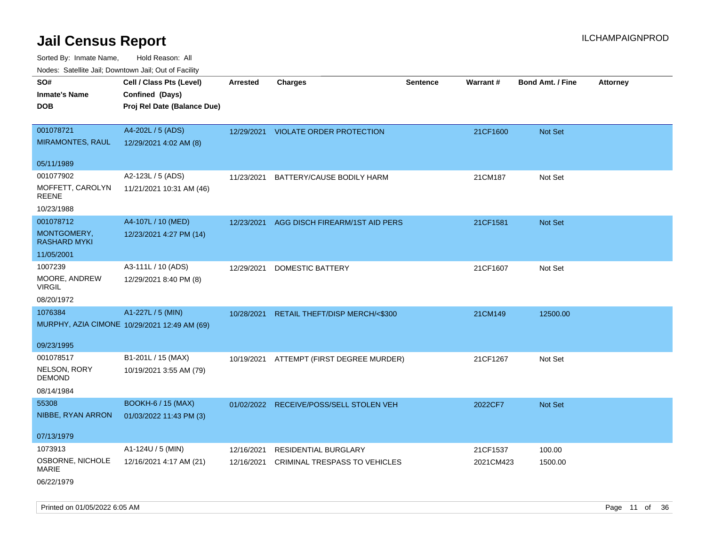Sorted By: Inmate Name, Hold Reason: All Nodes: Satellite Jail; Downtown Jail; Out of Facility

| rouce. Calcinic Jan, Downtown Jan, Out of Facility |                                                                            |                 |                                          |                 |           |                         |                 |
|----------------------------------------------------|----------------------------------------------------------------------------|-----------------|------------------------------------------|-----------------|-----------|-------------------------|-----------------|
| SO#<br>Inmate's Name<br>DOB                        | Cell / Class Pts (Level)<br>Confined (Days)<br>Proj Rel Date (Balance Due) | <b>Arrested</b> | <b>Charges</b>                           | <b>Sentence</b> | Warrant#  | <b>Bond Amt. / Fine</b> | <b>Attorney</b> |
| 001078721                                          | A4-202L / 5 (ADS)                                                          |                 |                                          |                 |           |                         |                 |
| <b>MIRAMONTES, RAUL</b>                            | 12/29/2021 4:02 AM (8)                                                     |                 | 12/29/2021 VIOLATE ORDER PROTECTION      |                 | 21CF1600  | Not Set                 |                 |
|                                                    |                                                                            |                 |                                          |                 |           |                         |                 |
| 05/11/1989                                         |                                                                            |                 |                                          |                 |           |                         |                 |
| 001077902                                          | A2-123L / 5 (ADS)                                                          | 11/23/2021      | BATTERY/CAUSE BODILY HARM                |                 | 21CM187   | Not Set                 |                 |
| MOFFETT, CAROLYN<br>REENE                          | 11/21/2021 10:31 AM (46)                                                   |                 |                                          |                 |           |                         |                 |
| 10/23/1988                                         |                                                                            |                 |                                          |                 |           |                         |                 |
| 001078712                                          | A4-107L / 10 (MED)                                                         | 12/23/2021      | AGG DISCH FIREARM/1ST AID PERS           |                 | 21CF1581  | <b>Not Set</b>          |                 |
| MONTGOMERY,<br>RASHARD MYKI                        | 12/23/2021 4:27 PM (14)                                                    |                 |                                          |                 |           |                         |                 |
| 11/05/2001                                         |                                                                            |                 |                                          |                 |           |                         |                 |
| 1007239                                            | A3-111L / 10 (ADS)                                                         | 12/29/2021      | DOMESTIC BATTERY                         |                 | 21CF1607  | Not Set                 |                 |
| MOORE, ANDREW<br>VIRGIL                            | 12/29/2021 8:40 PM (8)                                                     |                 |                                          |                 |           |                         |                 |
| 08/20/1972                                         |                                                                            |                 |                                          |                 |           |                         |                 |
| 1076384                                            | A1-227L / 5 (MIN)                                                          | 10/28/2021      | <b>RETAIL THEFT/DISP MERCH/&lt;\$300</b> |                 | 21CM149   | 12500.00                |                 |
|                                                    | MURPHY, AZIA CIMONE 10/29/2021 12:49 AM (69)                               |                 |                                          |                 |           |                         |                 |
| 09/23/1995                                         |                                                                            |                 |                                          |                 |           |                         |                 |
| 001078517                                          | B1-201L / 15 (MAX)                                                         |                 | 10/19/2021 ATTEMPT (FIRST DEGREE MURDER) |                 | 21CF1267  | Not Set                 |                 |
| NELSON, RORY<br>DEMOND                             | 10/19/2021 3:55 AM (79)                                                    |                 |                                          |                 |           |                         |                 |
| 08/14/1984                                         |                                                                            |                 |                                          |                 |           |                         |                 |
| 55308                                              | <b>BOOKH-6 / 15 (MAX)</b>                                                  |                 | 01/02/2022 RECEIVE/POSS/SELL STOLEN VEH  |                 | 2022CF7   | Not Set                 |                 |
| NIBBE, RYAN ARRON                                  | 01/03/2022 11:43 PM (3)                                                    |                 |                                          |                 |           |                         |                 |
| 07/13/1979                                         |                                                                            |                 |                                          |                 |           |                         |                 |
| 1073913                                            | A1-124U / 5 (MIN)                                                          | 12/16/2021      | <b>RESIDENTIAL BURGLARY</b>              |                 | 21CF1537  | 100.00                  |                 |
| OSBORNE, NICHOLE<br><b>MARIE</b>                   | 12/16/2021 4:17 AM (21)                                                    | 12/16/2021      | CRIMINAL TRESPASS TO VEHICLES            |                 | 2021CM423 | 1500.00                 |                 |
| 06/22/1979                                         |                                                                            |                 |                                          |                 |           |                         |                 |

Printed on 01/05/2022 6:05 AM **Page 11** of 36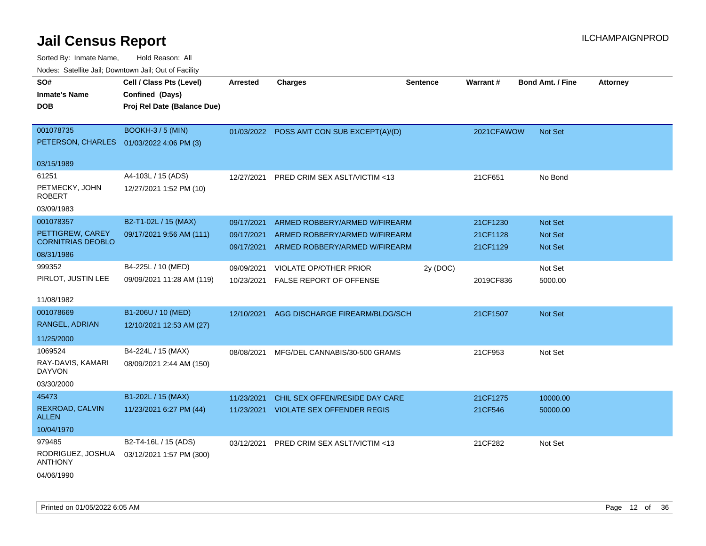| rougs. Calcinic Jan, Downtown Jan, Out of Facility |                             |            |                                           |                 |                 |                         |                 |
|----------------------------------------------------|-----------------------------|------------|-------------------------------------------|-----------------|-----------------|-------------------------|-----------------|
| SO#                                                | Cell / Class Pts (Level)    | Arrested   | <b>Charges</b>                            | <b>Sentence</b> | <b>Warrant#</b> | <b>Bond Amt. / Fine</b> | <b>Attorney</b> |
| <b>Inmate's Name</b>                               | Confined (Days)             |            |                                           |                 |                 |                         |                 |
| <b>DOB</b>                                         | Proj Rel Date (Balance Due) |            |                                           |                 |                 |                         |                 |
|                                                    |                             |            |                                           |                 |                 |                         |                 |
| 001078735                                          | <b>BOOKH-3 / 5 (MIN)</b>    |            | 01/03/2022 POSS AMT CON SUB EXCEPT(A)/(D) |                 | 2021CFAWOW      | Not Set                 |                 |
| PETERSON, CHARLES 01/03/2022 4:06 PM (3)           |                             |            |                                           |                 |                 |                         |                 |
| 03/15/1989                                         |                             |            |                                           |                 |                 |                         |                 |
|                                                    |                             |            |                                           |                 |                 |                         |                 |
| 61251                                              | A4-103L / 15 (ADS)          | 12/27/2021 | PRED CRIM SEX ASLT/VICTIM <13             |                 | 21CF651         | No Bond                 |                 |
| PETMECKY, JOHN<br><b>ROBERT</b>                    | 12/27/2021 1:52 PM (10)     |            |                                           |                 |                 |                         |                 |
| 03/09/1983                                         |                             |            |                                           |                 |                 |                         |                 |
| 001078357                                          | B2-T1-02L / 15 (MAX)        | 09/17/2021 | ARMED ROBBERY/ARMED W/FIREARM             |                 | 21CF1230        | <b>Not Set</b>          |                 |
| PETTIGREW, CAREY                                   | 09/17/2021 9:56 AM (111)    | 09/17/2021 | ARMED ROBBERY/ARMED W/FIREARM             |                 | 21CF1128        | Not Set                 |                 |
| <b>CORNITRIAS DEOBLO</b>                           |                             | 09/17/2021 | ARMED ROBBERY/ARMED W/FIREARM             |                 | 21CF1129        | <b>Not Set</b>          |                 |
| 08/31/1986                                         |                             |            |                                           |                 |                 |                         |                 |
| 999352                                             | B4-225L / 10 (MED)          | 09/09/2021 | <b>VIOLATE OP/OTHER PRIOR</b>             | 2y (DOC)        |                 | Not Set                 |                 |
| PIRLOT, JUSTIN LEE                                 | 09/09/2021 11:28 AM (119)   | 10/23/2021 | FALSE REPORT OF OFFENSE                   |                 | 2019CF836       | 5000.00                 |                 |
| 11/08/1982                                         |                             |            |                                           |                 |                 |                         |                 |
| 001078669                                          | B1-206U / 10 (MED)          | 12/10/2021 | AGG DISCHARGE FIREARM/BLDG/SCH            |                 | 21CF1507        | <b>Not Set</b>          |                 |
| RANGEL, ADRIAN                                     | 12/10/2021 12:53 AM (27)    |            |                                           |                 |                 |                         |                 |
| 11/25/2000                                         |                             |            |                                           |                 |                 |                         |                 |
| 1069524                                            | B4-224L / 15 (MAX)          | 08/08/2021 | MFG/DEL CANNABIS/30-500 GRAMS             |                 | 21CF953         | Not Set                 |                 |
| RAY-DAVIS, KAMARI<br><b>DAYVON</b>                 | 08/09/2021 2:44 AM (150)    |            |                                           |                 |                 |                         |                 |
| 03/30/2000                                         |                             |            |                                           |                 |                 |                         |                 |
| 45473                                              | B1-202L / 15 (MAX)          | 11/23/2021 | CHIL SEX OFFEN/RESIDE DAY CARE            |                 | 21CF1275        | 10000.00                |                 |
| REXROAD, CALVIN<br>ALLEN                           | 11/23/2021 6:27 PM (44)     | 11/23/2021 | <b>VIOLATE SEX OFFENDER REGIS</b>         |                 | 21CF546         | 50000.00                |                 |
| 10/04/1970                                         |                             |            |                                           |                 |                 |                         |                 |
| 979485                                             | B2-T4-16L / 15 (ADS)        | 03/12/2021 | PRED CRIM SEX ASLT/VICTIM <13             |                 | 21CF282         | Not Set                 |                 |
| RODRIGUEZ, JOSHUA<br><b>ANTHONY</b>                | 03/12/2021 1:57 PM (300)    |            |                                           |                 |                 |                         |                 |
| 04/06/1990                                         |                             |            |                                           |                 |                 |                         |                 |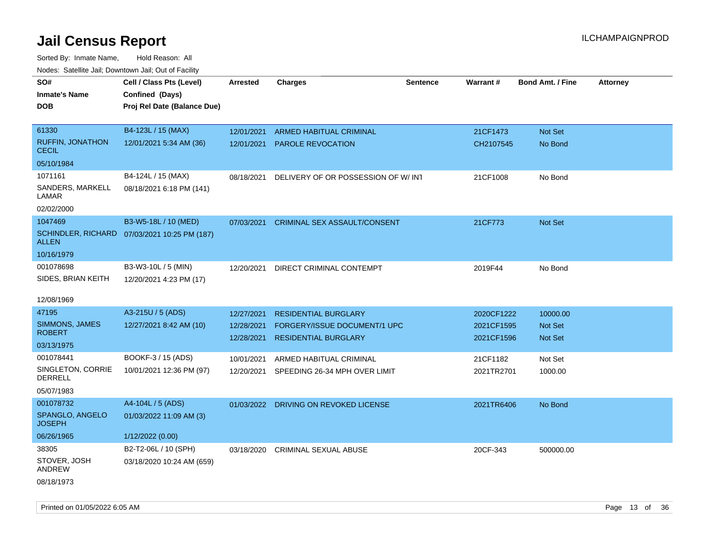| SO#                                     | Cell / Class Pts (Level)                     | <b>Arrested</b> | <b>Charges</b>                           | <b>Sentence</b> | Warrant#   | <b>Bond Amt. / Fine</b> | <b>Attorney</b> |
|-----------------------------------------|----------------------------------------------|-----------------|------------------------------------------|-----------------|------------|-------------------------|-----------------|
| <b>Inmate's Name</b>                    | Confined (Days)                              |                 |                                          |                 |            |                         |                 |
| <b>DOB</b>                              | Proj Rel Date (Balance Due)                  |                 |                                          |                 |            |                         |                 |
|                                         |                                              |                 |                                          |                 |            |                         |                 |
| 61330                                   | B4-123L / 15 (MAX)                           | 12/01/2021      | <b>ARMED HABITUAL CRIMINAL</b>           |                 | 21CF1473   | Not Set                 |                 |
| <b>RUFFIN, JONATHON</b><br><b>CECIL</b> | 12/01/2021 5:34 AM (36)                      | 12/01/2021      | PAROLE REVOCATION                        |                 | CH2107545  | No Bond                 |                 |
| 05/10/1984                              |                                              |                 |                                          |                 |            |                         |                 |
| 1071161                                 | B4-124L / 15 (MAX)                           | 08/18/2021      | DELIVERY OF OR POSSESSION OF W/ INT      |                 | 21CF1008   | No Bond                 |                 |
| SANDERS, MARKELL<br>LAMAR               | 08/18/2021 6:18 PM (141)                     |                 |                                          |                 |            |                         |                 |
| 02/02/2000                              |                                              |                 |                                          |                 |            |                         |                 |
| 1047469                                 | B3-W5-18L / 10 (MED)                         | 07/03/2021      | <b>CRIMINAL SEX ASSAULT/CONSENT</b>      |                 | 21CF773    | Not Set                 |                 |
| <b>ALLEN</b>                            | SCHINDLER, RICHARD 07/03/2021 10:25 PM (187) |                 |                                          |                 |            |                         |                 |
| 10/16/1979                              |                                              |                 |                                          |                 |            |                         |                 |
| 001078698                               | B3-W3-10L / 5 (MIN)                          | 12/20/2021      | DIRECT CRIMINAL CONTEMPT                 |                 | 2019F44    | No Bond                 |                 |
| SIDES, BRIAN KEITH                      | 12/20/2021 4:23 PM (17)                      |                 |                                          |                 |            |                         |                 |
|                                         |                                              |                 |                                          |                 |            |                         |                 |
| 12/08/1969<br>47195                     | A3-215U / 5 (ADS)                            |                 |                                          |                 |            |                         |                 |
| <b>SIMMONS, JAMES</b>                   |                                              | 12/27/2021      | <b>RESIDENTIAL BURGLARY</b>              |                 | 2020CF1222 | 10000.00                |                 |
| <b>ROBERT</b>                           | 12/27/2021 8:42 AM (10)                      | 12/28/2021      | FORGERY/ISSUE DOCUMENT/1 UPC             |                 | 2021CF1595 | Not Set                 |                 |
| 03/13/1975                              |                                              | 12/28/2021      | <b>RESIDENTIAL BURGLARY</b>              |                 | 2021CF1596 | <b>Not Set</b>          |                 |
| 001078441                               | BOOKF-3 / 15 (ADS)                           | 10/01/2021      | ARMED HABITUAL CRIMINAL                  |                 | 21CF1182   | Not Set                 |                 |
| SINGLETON, CORRIE                       | 10/01/2021 12:36 PM (97)                     |                 | 12/20/2021 SPEEDING 26-34 MPH OVER LIMIT |                 | 2021TR2701 | 1000.00                 |                 |
| <b>DERRELL</b>                          |                                              |                 |                                          |                 |            |                         |                 |
| 05/07/1983                              |                                              |                 |                                          |                 |            |                         |                 |
| 001078732                               | A4-104L / 5 (ADS)                            |                 | 01/03/2022 DRIVING ON REVOKED LICENSE    |                 | 2021TR6406 | No Bond                 |                 |
| SPANGLO, ANGELO<br><b>JOSEPH</b>        | 01/03/2022 11:09 AM (3)                      |                 |                                          |                 |            |                         |                 |
| 06/26/1965                              | 1/12/2022 (0.00)                             |                 |                                          |                 |            |                         |                 |
| 38305                                   | B2-T2-06L / 10 (SPH)                         | 03/18/2020      | <b>CRIMINAL SEXUAL ABUSE</b>             |                 | 20CF-343   | 500000.00               |                 |
| STOVER, JOSH<br>ANDREW                  | 03/18/2020 10:24 AM (659)                    |                 |                                          |                 |            |                         |                 |
| 08/18/1973                              |                                              |                 |                                          |                 |            |                         |                 |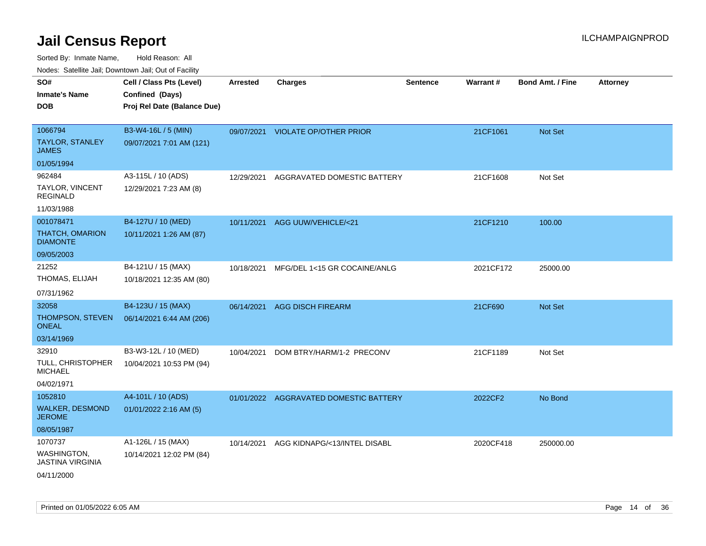| rougs. Calcinic Jan, Downtown Jan, Out of Facility                              |                                                                            |                 |                                        |                 |           |                  |                 |
|---------------------------------------------------------------------------------|----------------------------------------------------------------------------|-----------------|----------------------------------------|-----------------|-----------|------------------|-----------------|
| SO#<br><b>Inmate's Name</b><br><b>DOB</b>                                       | Cell / Class Pts (Level)<br>Confined (Days)<br>Proj Rel Date (Balance Due) | <b>Arrested</b> | <b>Charges</b>                         | <b>Sentence</b> | Warrant#  | Bond Amt. / Fine | <b>Attorney</b> |
| 1066794<br><b>TAYLOR, STANLEY</b><br><b>JAMES</b>                               | B3-W4-16L / 5 (MIN)<br>09/07/2021 7:01 AM (121)                            |                 | 09/07/2021 VIOLATE OP/OTHER PRIOR      |                 | 21CF1061  | <b>Not Set</b>   |                 |
| 01/05/1994<br>962484<br><b>TAYLOR, VINCENT</b><br><b>REGINALD</b><br>11/03/1988 | A3-115L / 10 (ADS)<br>12/29/2021 7:23 AM (8)                               | 12/29/2021      | AGGRAVATED DOMESTIC BATTERY            |                 | 21CF1608  | Not Set          |                 |
| 001078471<br><b>THATCH, OMARION</b><br><b>DIAMONTE</b><br>09/05/2003            | B4-127U / 10 (MED)<br>10/11/2021 1:26 AM (87)                              | 10/11/2021      | AGG UUW/VEHICLE/<21                    |                 | 21CF1210  | 100.00           |                 |
| 21252<br>THOMAS, ELIJAH<br>07/31/1962                                           | B4-121U / 15 (MAX)<br>10/18/2021 12:35 AM (80)                             | 10/18/2021      | MFG/DEL 1<15 GR COCAINE/ANLG           |                 | 2021CF172 | 25000.00         |                 |
| 32058<br>THOMPSON, STEVEN<br><b>ONEAL</b><br>03/14/1969                         | B4-123U / 15 (MAX)<br>06/14/2021 6:44 AM (206)                             | 06/14/2021      | <b>AGG DISCH FIREARM</b>               |                 | 21CF690   | Not Set          |                 |
| 32910<br>TULL, CHRISTOPHER<br><b>MICHAEL</b><br>04/02/1971                      | B3-W3-12L / 10 (MED)<br>10/04/2021 10:53 PM (94)                           | 10/04/2021      | DOM BTRY/HARM/1-2 PRECONV              |                 | 21CF1189  | Not Set          |                 |
| 1052810<br><b>WALKER, DESMOND</b><br><b>JEROME</b><br>08/05/1987                | A4-101L / 10 (ADS)<br>01/01/2022 2:16 AM (5)                               |                 | 01/01/2022 AGGRAVATED DOMESTIC BATTERY |                 | 2022CF2   | No Bond          |                 |
| 1070737<br>WASHINGTON,<br><b>JASTINA VIRGINIA</b><br>04/11/2000                 | A1-126L / 15 (MAX)<br>10/14/2021 12:02 PM (84)                             | 10/14/2021      | AGG KIDNAPG/<13/INTEL DISABL           |                 | 2020CF418 | 250000.00        |                 |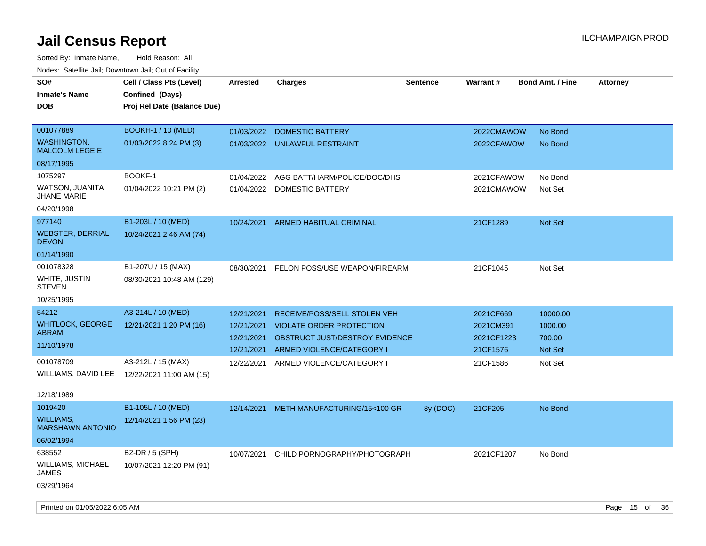| SO#<br><b>Inmate's Name</b><br><b>DOB</b>   | Cell / Class Pts (Level)<br>Confined (Days)<br>Proj Rel Date (Balance Due) | <b>Arrested</b> | <b>Charges</b>                  | <b>Sentence</b> | Warrant#   | <b>Bond Amt. / Fine</b> | <b>Attorney</b> |
|---------------------------------------------|----------------------------------------------------------------------------|-----------------|---------------------------------|-----------------|------------|-------------------------|-----------------|
| 001077889                                   | <b>BOOKH-1 / 10 (MED)</b>                                                  | 01/03/2022      | DOMESTIC BATTERY                |                 | 2022CMAWOW | No Bond                 |                 |
| <b>WASHINGTON,</b><br><b>MALCOLM LEGEIE</b> | 01/03/2022 8:24 PM (3)                                                     | 01/03/2022      | UNLAWFUL RESTRAINT              |                 | 2022CFAWOW | No Bond                 |                 |
| 08/17/1995                                  |                                                                            |                 |                                 |                 |            |                         |                 |
| 1075297                                     | BOOKF-1                                                                    | 01/04/2022      | AGG BATT/HARM/POLICE/DOC/DHS    |                 | 2021CFAWOW | No Bond                 |                 |
| WATSON, JUANITA<br><b>JHANE MARIE</b>       | 01/04/2022 10:21 PM (2)                                                    |                 | 01/04/2022 DOMESTIC BATTERY     |                 | 2021CMAWOW | Not Set                 |                 |
| 04/20/1998                                  |                                                                            |                 |                                 |                 |            |                         |                 |
| 977140                                      | B1-203L / 10 (MED)                                                         | 10/24/2021      | ARMED HABITUAL CRIMINAL         |                 | 21CF1289   | <b>Not Set</b>          |                 |
| <b>WEBSTER, DERRIAL</b><br><b>DEVON</b>     | 10/24/2021 2:46 AM (74)                                                    |                 |                                 |                 |            |                         |                 |
| 01/14/1990                                  |                                                                            |                 |                                 |                 |            |                         |                 |
| 001078328                                   | B1-207U / 15 (MAX)                                                         | 08/30/2021      | FELON POSS/USE WEAPON/FIREARM   |                 | 21CF1045   | Not Set                 |                 |
| WHITE, JUSTIN<br><b>STEVEN</b>              | 08/30/2021 10:48 AM (129)                                                  |                 |                                 |                 |            |                         |                 |
| 10/25/1995                                  |                                                                            |                 |                                 |                 |            |                         |                 |
| 54212                                       | A3-214L / 10 (MED)                                                         | 12/21/2021      | RECEIVE/POSS/SELL STOLEN VEH    |                 | 2021CF669  | 10000.00                |                 |
| <b>WHITLOCK, GEORGE</b>                     | 12/21/2021 1:20 PM (16)                                                    | 12/21/2021      | <b>VIOLATE ORDER PROTECTION</b> |                 | 2021CM391  | 1000.00                 |                 |
| ABRAM                                       |                                                                            | 12/21/2021      | OBSTRUCT JUST/DESTROY EVIDENCE  |                 | 2021CF1223 | 700.00                  |                 |
| 11/10/1978                                  |                                                                            | 12/21/2021      | ARMED VIOLENCE/CATEGORY I       |                 | 21CF1576   | Not Set                 |                 |
| 001078709                                   | A3-212L / 15 (MAX)                                                         | 12/22/2021      | ARMED VIOLENCE/CATEGORY I       |                 | 21CF1586   | Not Set                 |                 |
| WILLIAMS, DAVID LEE                         | 12/22/2021 11:00 AM (15)                                                   |                 |                                 |                 |            |                         |                 |
| 12/18/1989                                  |                                                                            |                 |                                 |                 |            |                         |                 |
| 1019420                                     | B1-105L / 10 (MED)                                                         | 12/14/2021      | METH MANUFACTURING/15<100 GR    | 8y (DOC)        | 21CF205    | No Bond                 |                 |
| <b>WILLIAMS,</b><br><b>MARSHAWN ANTONIO</b> | 12/14/2021 1:56 PM (23)                                                    |                 |                                 |                 |            |                         |                 |
| 06/02/1994                                  |                                                                            |                 |                                 |                 |            |                         |                 |
| 638552<br>WILLIAMS, MICHAEL<br>JAMES        | B2-DR / 5 (SPH)<br>10/07/2021 12:20 PM (91)                                | 10/07/2021      | CHILD PORNOGRAPHY/PHOTOGRAPH    |                 | 2021CF1207 | No Bond                 |                 |
| 03/29/1964                                  |                                                                            |                 |                                 |                 |            |                         |                 |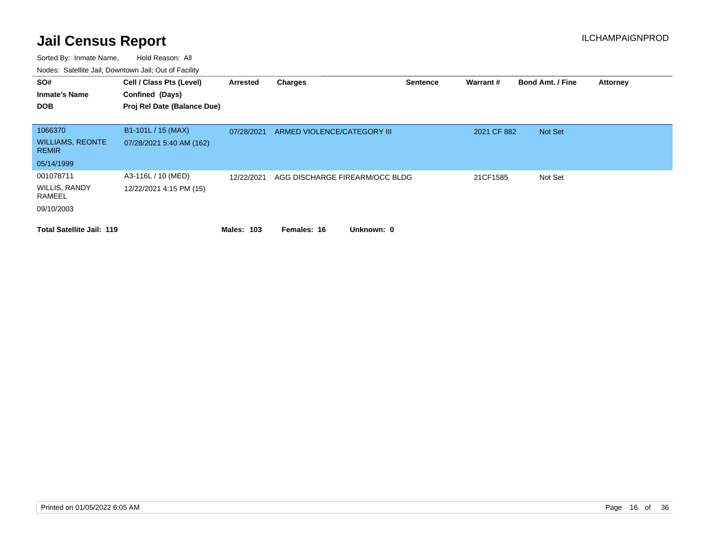| SO#<br><b>Inmate's Name</b><br><b>DOB</b>          | Cell / Class Pts (Level)<br>Confined (Days)<br>Proj Rel Date (Balance Due) | Arrested          | <b>Charges</b>                 | <b>Sentence</b> | Warrant#    | <b>Bond Amt. / Fine</b> | <b>Attorney</b> |
|----------------------------------------------------|----------------------------------------------------------------------------|-------------------|--------------------------------|-----------------|-------------|-------------------------|-----------------|
| 1066370<br><b>WILLIAMS, REONTE</b><br><b>REMIR</b> | B1-101L / 15 (MAX)<br>07/28/2021 5:40 AM (162)                             | 07/28/2021        | ARMED VIOLENCE/CATEGORY III    |                 | 2021 CF 882 | Not Set                 |                 |
| 05/14/1999                                         |                                                                            |                   |                                |                 |             |                         |                 |
| 001078711<br><b>WILLIS, RANDY</b><br>RAMEEL        | A3-116L / 10 (MED)<br>12/22/2021 4:15 PM (15)                              | 12/22/2021        | AGG DISCHARGE FIREARM/OCC BLDG |                 | 21CF1585    | Not Set                 |                 |
| 09/10/2003                                         |                                                                            |                   |                                |                 |             |                         |                 |
| <b>Total Satellite Jail: 119</b>                   |                                                                            | <b>Males: 103</b> | Unknown: 0<br>Females: 16      |                 |             |                         |                 |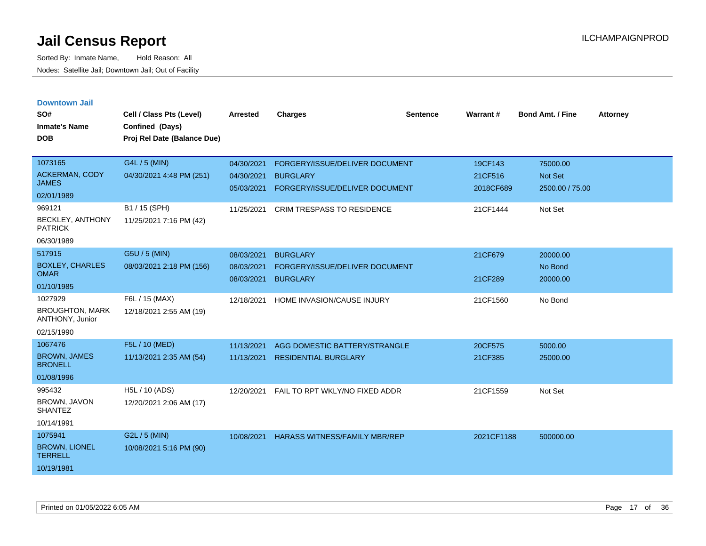|  |  | <b>Downtown Jail</b> |  |
|--|--|----------------------|--|

| SO#<br><b>Inmate's Name</b><br><b>DOB</b>                                                    | Cell / Class Pts (Level)<br>Confined (Days)<br>Proj Rel Date (Balance Due)            | <b>Arrested</b>                                      | <b>Charges</b>                                                                                                    | <b>Sentence</b> | Warrant#                                    | <b>Bond Amt. / Fine</b>                           | <b>Attorney</b> |
|----------------------------------------------------------------------------------------------|---------------------------------------------------------------------------------------|------------------------------------------------------|-------------------------------------------------------------------------------------------------------------------|-----------------|---------------------------------------------|---------------------------------------------------|-----------------|
| 1073165<br>ACKERMAN, CODY<br><b>JAMES</b><br>02/01/1989<br>969121<br><b>BECKLEY, ANTHONY</b> | G4L / 5 (MIN)<br>04/30/2021 4:48 PM (251)<br>B1 / 15 (SPH)<br>11/25/2021 7:16 PM (42) | 04/30/2021<br>04/30/2021<br>05/03/2021<br>11/25/2021 | FORGERY/ISSUE/DELIVER DOCUMENT<br><b>BURGLARY</b><br>FORGERY/ISSUE/DELIVER DOCUMENT<br>CRIM TRESPASS TO RESIDENCE |                 | 19CF143<br>21CF516<br>2018CF689<br>21CF1444 | 75000.00<br>Not Set<br>2500.00 / 75.00<br>Not Set |                 |
| <b>PATRICK</b><br>06/30/1989                                                                 |                                                                                       |                                                      |                                                                                                                   |                 |                                             |                                                   |                 |
| 517915<br><b>BOXLEY, CHARLES</b><br><b>OMAR</b><br>01/10/1985                                | G5U / 5 (MIN)<br>08/03/2021 2:18 PM (156)                                             | 08/03/2021<br>08/03/2021<br>08/03/2021               | <b>BURGLARY</b><br>FORGERY/ISSUE/DELIVER DOCUMENT<br><b>BURGLARY</b>                                              |                 | 21CF679<br>21CF289                          | 20000.00<br>No Bond<br>20000.00                   |                 |
| 1027929<br><b>BROUGHTON, MARK</b><br>ANTHONY, Junior<br>02/15/1990                           | F6L / 15 (MAX)<br>12/18/2021 2:55 AM (19)                                             | 12/18/2021                                           | HOME INVASION/CAUSE INJURY                                                                                        |                 | 21CF1560                                    | No Bond                                           |                 |
| 1067476<br><b>BROWN, JAMES</b><br><b>BRONELL</b><br>01/08/1996                               | F5L / 10 (MED)<br>11/13/2021 2:35 AM (54)                                             | 11/13/2021<br>11/13/2021                             | AGG DOMESTIC BATTERY/STRANGLE<br><b>RESIDENTIAL BURGLARY</b>                                                      |                 | 20CF575<br>21CF385                          | 5000.00<br>25000.00                               |                 |
| 995432<br>BROWN, JAVON<br><b>SHANTEZ</b><br>10/14/1991                                       | H5L / 10 (ADS)<br>12/20/2021 2:06 AM (17)                                             | 12/20/2021                                           | FAIL TO RPT WKLY/NO FIXED ADDR                                                                                    |                 | 21CF1559                                    | Not Set                                           |                 |
| 1075941<br><b>BROWN, LIONEL</b><br><b>TERRELL</b><br>10/19/1981                              | G2L / 5 (MIN)<br>10/08/2021 5:16 PM (90)                                              | 10/08/2021                                           | <b>HARASS WITNESS/FAMILY MBR/REP</b>                                                                              |                 | 2021CF1188                                  | 500000.00                                         |                 |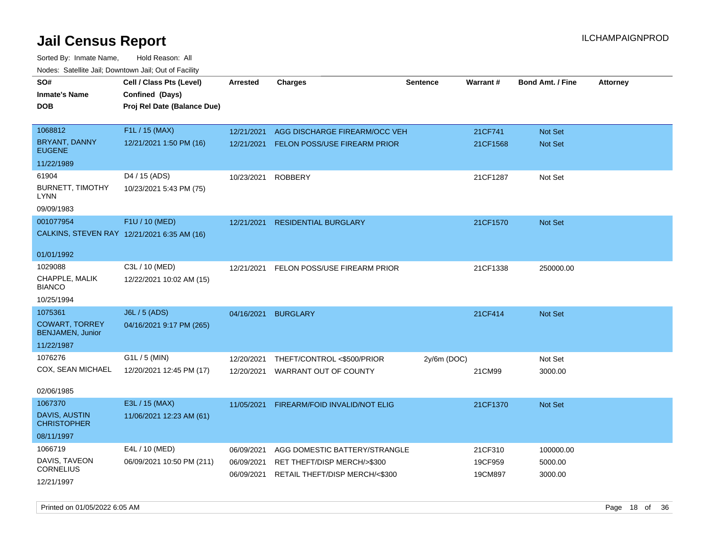Sorted By: Inmate Name, Hold Reason: All Nodes: Satellite Jail; Downtown Jail; Out of Facility

| <u>Rodos.</u> Odiolino dali, Downtown dali, Odi of Fabilit |                                             |                 |                                |                 |          |                         |                 |
|------------------------------------------------------------|---------------------------------------------|-----------------|--------------------------------|-----------------|----------|-------------------------|-----------------|
| SO#                                                        | Cell / Class Pts (Level)                    | <b>Arrested</b> | <b>Charges</b>                 | <b>Sentence</b> | Warrant# | <b>Bond Amt. / Fine</b> | <b>Attorney</b> |
| <b>Inmate's Name</b>                                       | Confined (Days)                             |                 |                                |                 |          |                         |                 |
| <b>DOB</b>                                                 | Proj Rel Date (Balance Due)                 |                 |                                |                 |          |                         |                 |
|                                                            |                                             |                 |                                |                 |          |                         |                 |
| 1068812                                                    | F1L / 15 (MAX)                              | 12/21/2021      | AGG DISCHARGE FIREARM/OCC VEH  |                 | 21CF741  | Not Set                 |                 |
| BRYANT, DANNY<br><b>EUGENE</b>                             | 12/21/2021 1:50 PM (16)                     | 12/21/2021      | FELON POSS/USE FIREARM PRIOR   |                 | 21CF1568 | Not Set                 |                 |
| 11/22/1989                                                 |                                             |                 |                                |                 |          |                         |                 |
| 61904                                                      | D4 / 15 (ADS)                               | 10/23/2021      | <b>ROBBERY</b>                 |                 | 21CF1287 | Not Set                 |                 |
| <b>BURNETT, TIMOTHY</b><br>LYNN                            | 10/23/2021 5:43 PM (75)                     |                 |                                |                 |          |                         |                 |
| 09/09/1983                                                 |                                             |                 |                                |                 |          |                         |                 |
| 001077954                                                  | F1U / 10 (MED)                              | 12/21/2021      | <b>RESIDENTIAL BURGLARY</b>    |                 | 21CF1570 | Not Set                 |                 |
|                                                            | CALKINS, STEVEN RAY 12/21/2021 6:35 AM (16) |                 |                                |                 |          |                         |                 |
| 01/01/1992                                                 |                                             |                 |                                |                 |          |                         |                 |
| 1029088                                                    | C3L / 10 (MED)                              | 12/21/2021      | FELON POSS/USE FIREARM PRIOR   |                 | 21CF1338 | 250000.00               |                 |
| CHAPPLE, MALIK<br><b>BIANCO</b>                            | 12/22/2021 10:02 AM (15)                    |                 |                                |                 |          |                         |                 |
| 10/25/1994                                                 |                                             |                 |                                |                 |          |                         |                 |
| 1075361                                                    | J6L / 5 (ADS)                               | 04/16/2021      | <b>BURGLARY</b>                |                 | 21CF414  | <b>Not Set</b>          |                 |
| <b>COWART, TORREY</b><br><b>BENJAMEN, Junior</b>           | 04/16/2021 9:17 PM (265)                    |                 |                                |                 |          |                         |                 |
| 11/22/1987                                                 |                                             |                 |                                |                 |          |                         |                 |
| 1076276                                                    | G1L / 5 (MIN)                               | 12/20/2021      | THEFT/CONTROL <\$500/PRIOR     | $2y/6m$ (DOC)   |          | Not Set                 |                 |
| COX, SEAN MICHAEL                                          | 12/20/2021 12:45 PM (17)                    | 12/20/2021      | WARRANT OUT OF COUNTY          |                 | 21CM99   | 3000.00                 |                 |
| 02/06/1985                                                 |                                             |                 |                                |                 |          |                         |                 |
| 1067370                                                    | E3L / 15 (MAX)                              | 11/05/2021      | FIREARM/FOID INVALID/NOT ELIG  |                 | 21CF1370 | <b>Not Set</b>          |                 |
| DAVIS, AUSTIN<br><b>CHRISTOPHER</b>                        | 11/06/2021 12:23 AM (61)                    |                 |                                |                 |          |                         |                 |
| 08/11/1997                                                 |                                             |                 |                                |                 |          |                         |                 |
| 1066719                                                    | E4L / 10 (MED)                              | 06/09/2021      | AGG DOMESTIC BATTERY/STRANGLE  |                 | 21CF310  | 100000.00               |                 |
| DAVIS, TAVEON                                              | 06/09/2021 10:50 PM (211)                   | 06/09/2021      | RET THEFT/DISP MERCH/>\$300    |                 | 19CF959  | 5000.00                 |                 |
| <b>CORNELIUS</b>                                           |                                             | 06/09/2021      | RETAIL THEFT/DISP MERCH/<\$300 |                 | 19CM897  | 3000.00                 |                 |
| 12/21/1997                                                 |                                             |                 |                                |                 |          |                         |                 |

Printed on 01/05/2022 6:05 AM **Page 18** of 36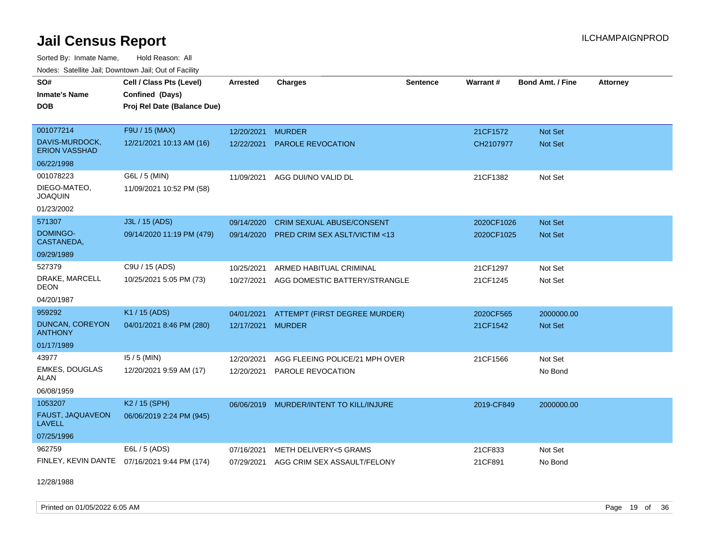Sorted By: Inmate Name, Hold Reason: All Nodes: Satellite Jail; Downtown Jail; Out of Facility

| SO#                                      | Cell / Class Pts (Level)                       | <b>Arrested</b> | <b>Charges</b>                          | Sentence | Warrant#   | Bond Amt. / Fine | <b>Attorney</b> |
|------------------------------------------|------------------------------------------------|-----------------|-----------------------------------------|----------|------------|------------------|-----------------|
| <b>Inmate's Name</b><br><b>DOB</b>       | Confined (Days)<br>Proj Rel Date (Balance Due) |                 |                                         |          |            |                  |                 |
|                                          |                                                |                 |                                         |          |            |                  |                 |
| 001077214                                | F9U / 15 (MAX)                                 | 12/20/2021      | <b>MURDER</b>                           |          | 21CF1572   | <b>Not Set</b>   |                 |
| DAVIS-MURDOCK,<br><b>ERION VASSHAD</b>   | 12/21/2021 10:13 AM (16)                       | 12/22/2021      | <b>PAROLE REVOCATION</b>                |          | CH2107977  | <b>Not Set</b>   |                 |
| 06/22/1998                               |                                                |                 |                                         |          |            |                  |                 |
| 001078223                                | G6L / 5 (MIN)                                  | 11/09/2021      | AGG DUI/NO VALID DL                     |          | 21CF1382   | Not Set          |                 |
| DIEGO-MATEO,<br><b>JOAQUIN</b>           | 11/09/2021 10:52 PM (58)                       |                 |                                         |          |            |                  |                 |
| 01/23/2002                               |                                                |                 |                                         |          |            |                  |                 |
| 571307                                   | J3L / 15 (ADS)                                 | 09/14/2020      | <b>CRIM SEXUAL ABUSE/CONSENT</b>        |          | 2020CF1026 | <b>Not Set</b>   |                 |
| DOMINGO-<br>CASTANEDA,                   | 09/14/2020 11:19 PM (479)                      | 09/14/2020      | <b>PRED CRIM SEX ASLT/VICTIM &lt;13</b> |          | 2020CF1025 | <b>Not Set</b>   |                 |
| 09/29/1989                               |                                                |                 |                                         |          |            |                  |                 |
| 527379                                   | C9U / 15 (ADS)                                 | 10/25/2021      | ARMED HABITUAL CRIMINAL                 |          | 21CF1297   | Not Set          |                 |
| DRAKE, MARCELL<br><b>DEON</b>            | 10/25/2021 5:05 PM (73)                        | 10/27/2021      | AGG DOMESTIC BATTERY/STRANGLE           |          | 21CF1245   | Not Set          |                 |
| 04/20/1987                               |                                                |                 |                                         |          |            |                  |                 |
| 959292                                   | K1 / 15 (ADS)                                  | 04/01/2021      | ATTEMPT (FIRST DEGREE MURDER)           |          | 2020CF565  | 2000000.00       |                 |
| <b>DUNCAN, COREYON</b><br><b>ANTHONY</b> | 04/01/2021 8:46 PM (280)                       | 12/17/2021      | <b>MURDER</b>                           |          | 21CF1542   | <b>Not Set</b>   |                 |
| 01/17/1989                               |                                                |                 |                                         |          |            |                  |                 |
| 43977                                    | $15/5$ (MIN)                                   | 12/20/2021      | AGG FLEEING POLICE/21 MPH OVER          |          | 21CF1566   | Not Set          |                 |
| <b>EMKES, DOUGLAS</b><br>ALAN            | 12/20/2021 9:59 AM (17)                        | 12/20/2021      | PAROLE REVOCATION                       |          |            | No Bond          |                 |
| 06/08/1959                               |                                                |                 |                                         |          |            |                  |                 |
| 1053207                                  | K <sub>2</sub> / 15 (SPH)                      | 06/06/2019      | MURDER/INTENT TO KILL/INJURE            |          | 2019-CF849 | 2000000.00       |                 |
| FAUST, JAQUAVEON<br><b>LAVELL</b>        | 06/06/2019 2:24 PM (945)                       |                 |                                         |          |            |                  |                 |
| 07/25/1996                               |                                                |                 |                                         |          |            |                  |                 |
| 962759                                   | E6L / 5 (ADS)                                  | 07/16/2021      | METH DELIVERY<5 GRAMS                   |          | 21CF833    | Not Set          |                 |
|                                          | FINLEY, KEVIN DANTE 07/16/2021 9:44 PM (174)   | 07/29/2021      | AGG CRIM SEX ASSAULT/FELONY             |          | 21CF891    | No Bond          |                 |

12/28/1988

Printed on 01/05/2022 6:05 AM **Page 19 of 36**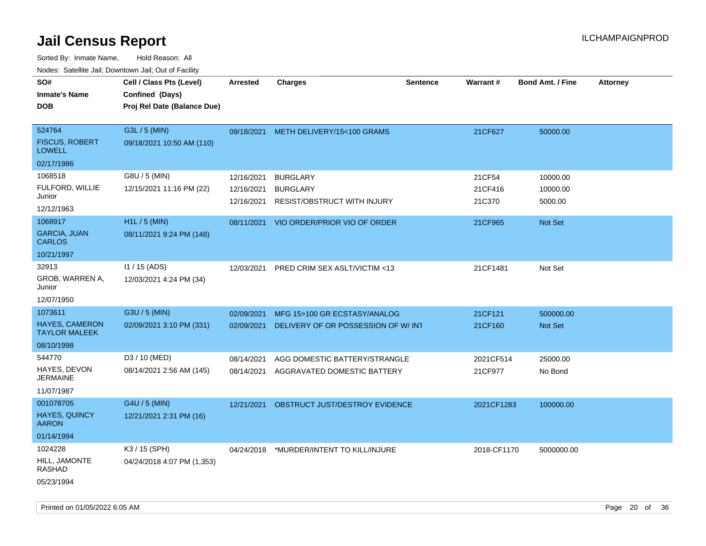| SO#                                                           | Cell / Class Pts (Level)                       | <b>Arrested</b>                        | <b>Charges</b>                                                    | <b>Sentence</b> | Warrant#                    | <b>Bond Amt. / Fine</b>         | <b>Attorney</b> |
|---------------------------------------------------------------|------------------------------------------------|----------------------------------------|-------------------------------------------------------------------|-----------------|-----------------------------|---------------------------------|-----------------|
| <b>Inmate's Name</b><br><b>DOB</b>                            | Confined (Days)<br>Proj Rel Date (Balance Due) |                                        |                                                                   |                 |                             |                                 |                 |
| 524764<br><b>FISCUS, ROBERT</b><br><b>LOWELL</b>              | G3L / 5 (MIN)<br>09/18/2021 10:50 AM (110)     | 09/18/2021                             | METH DELIVERY/15<100 GRAMS                                        |                 | 21CF627                     | 50000.00                        |                 |
| 02/17/1986                                                    |                                                |                                        |                                                                   |                 |                             |                                 |                 |
| 1068518<br>FULFORD, WILLIE<br>Junior<br>12/12/1963            | G8U / 5 (MIN)<br>12/15/2021 11:16 PM (22)      | 12/16/2021<br>12/16/2021<br>12/16/2021 | <b>BURGLARY</b><br><b>BURGLARY</b><br>RESIST/OBSTRUCT WITH INJURY |                 | 21CF54<br>21CF416<br>21C370 | 10000.00<br>10000.00<br>5000.00 |                 |
| 1068917<br><b>GARCIA, JUAN</b><br><b>CARLOS</b><br>10/21/1997 | H1L / 5 (MIN)<br>08/11/2021 9:24 PM (148)      | 08/11/2021                             | VIO ORDER/PRIOR VIO OF ORDER                                      |                 | 21CF965                     | Not Set                         |                 |
| 32913<br>GROB, WARREN A,<br>Junior<br>12/07/1950              | I1 / 15 (ADS)<br>12/03/2021 4:24 PM (34)       | 12/03/2021                             | PRED CRIM SEX ASLT/VICTIM <13                                     |                 | 21CF1481                    | Not Set                         |                 |
| 1073611                                                       | G3U / 5 (MIN)                                  | 02/09/2021                             | MFG 15>100 GR ECSTASY/ANALOG                                      |                 | 21CF121                     | 500000.00                       |                 |
| <b>HAYES, CAMERON</b><br><b>TAYLOR MALEEK</b>                 | 02/09/2021 3:10 PM (331)                       | 02/09/2021                             | DELIVERY OF OR POSSESSION OF W/INT                                |                 | 21CF160                     | <b>Not Set</b>                  |                 |
| 08/10/1998                                                    |                                                |                                        |                                                                   |                 |                             |                                 |                 |
| 544770<br>HAYES, DEVON<br><b>JERMAINE</b><br>11/07/1987       | D3 / 10 (MED)<br>08/14/2021 2:56 AM (145)      | 08/14/2021<br>08/14/2021               | AGG DOMESTIC BATTERY/STRANGLE<br>AGGRAVATED DOMESTIC BATTERY      |                 | 2021CF514<br>21CF977        | 25000.00<br>No Bond             |                 |
| 001078705<br>HAYES, QUINCY<br><b>AARON</b><br>01/14/1994      | G4U / 5 (MIN)<br>12/21/2021 2:31 PM (16)       | 12/21/2021                             | OBSTRUCT JUST/DESTROY EVIDENCE                                    |                 | 2021CF1283                  | 100000.00                       |                 |
| 1024228<br>HILL, JAMONTE<br><b>RASHAD</b><br>05/23/1994       | K3 / 15 (SPH)<br>04/24/2018 4:07 PM (1,353)    | 04/24/2018                             | *MURDER/INTENT TO KILL/INJURE                                     |                 | 2018-CF1170                 | 5000000.00                      |                 |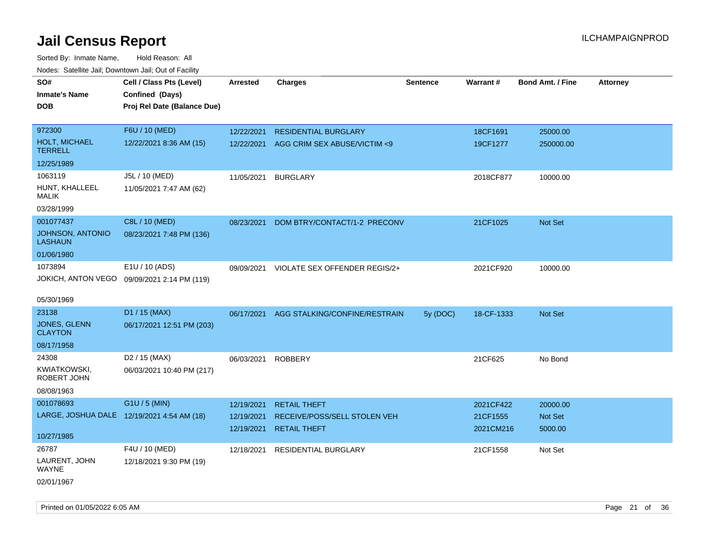| roaco. Odichile Jan, Downtown Jan, Out of Facility |                                             |                 |                               |                 |            |                         |                 |
|----------------------------------------------------|---------------------------------------------|-----------------|-------------------------------|-----------------|------------|-------------------------|-----------------|
| SO#                                                | Cell / Class Pts (Level)                    | <b>Arrested</b> | <b>Charges</b>                | <b>Sentence</b> | Warrant#   | <b>Bond Amt. / Fine</b> | <b>Attorney</b> |
| <b>Inmate's Name</b>                               | Confined (Days)                             |                 |                               |                 |            |                         |                 |
| <b>DOB</b>                                         | Proj Rel Date (Balance Due)                 |                 |                               |                 |            |                         |                 |
|                                                    |                                             |                 |                               |                 |            |                         |                 |
| 972300                                             | F6U / 10 (MED)                              | 12/22/2021      | <b>RESIDENTIAL BURGLARY</b>   |                 | 18CF1691   | 25000.00                |                 |
| <b>HOLT, MICHAEL</b><br><b>TERRELL</b>             | 12/22/2021 8:36 AM (15)                     | 12/22/2021      | AGG CRIM SEX ABUSE/VICTIM <9  |                 | 19CF1277   | 250000.00               |                 |
| 12/25/1989                                         |                                             |                 |                               |                 |            |                         |                 |
| 1063119                                            | J5L / 10 (MED)                              | 11/05/2021      | <b>BURGLARY</b>               |                 | 2018CF877  | 10000.00                |                 |
| HUNT, KHALLEEL<br><b>MALIK</b>                     | 11/05/2021 7:47 AM (62)                     |                 |                               |                 |            |                         |                 |
| 03/28/1999                                         |                                             |                 |                               |                 |            |                         |                 |
| 001077437                                          | C8L / 10 (MED)                              | 08/23/2021      | DOM BTRY/CONTACT/1-2 PRECONV  |                 | 21CF1025   | Not Set                 |                 |
| JOHNSON, ANTONIO<br><b>LASHAUN</b>                 | 08/23/2021 7:48 PM (136)                    |                 |                               |                 |            |                         |                 |
| 01/06/1980                                         |                                             |                 |                               |                 |            |                         |                 |
| 1073894                                            | E1U / 10 (ADS)                              | 09/09/2021      | VIOLATE SEX OFFENDER REGIS/2+ |                 | 2021CF920  | 10000.00                |                 |
|                                                    | JOKICH, ANTON VEGO 09/09/2021 2:14 PM (119) |                 |                               |                 |            |                         |                 |
|                                                    |                                             |                 |                               |                 |            |                         |                 |
| 05/30/1969                                         |                                             |                 |                               |                 |            |                         |                 |
| 23138                                              | D1 / 15 (MAX)                               | 06/17/2021      | AGG STALKING/CONFINE/RESTRAIN | 5y (DOC)        | 18-CF-1333 | Not Set                 |                 |
| <b>JONES, GLENN</b><br><b>CLAYTON</b>              | 06/17/2021 12:51 PM (203)                   |                 |                               |                 |            |                         |                 |
| 08/17/1958                                         |                                             |                 |                               |                 |            |                         |                 |
| 24308                                              | D <sub>2</sub> / 15 (MAX)                   | 06/03/2021      | <b>ROBBERY</b>                |                 | 21CF625    | No Bond                 |                 |
| KWIATKOWSKI,<br>ROBERT JOHN                        | 06/03/2021 10:40 PM (217)                   |                 |                               |                 |            |                         |                 |
| 08/08/1963                                         |                                             |                 |                               |                 |            |                         |                 |
| 001078693                                          | G1U / 5 (MIN)                               | 12/19/2021      | <b>RETAIL THEFT</b>           |                 | 2021CF422  | 20000.00                |                 |
| LARGE, JOSHUA DALE 12/19/2021 4:54 AM (18)         |                                             | 12/19/2021      | RECEIVE/POSS/SELL STOLEN VEH  |                 | 21CF1555   | Not Set                 |                 |
|                                                    |                                             | 12/19/2021      | <b>RETAIL THEFT</b>           |                 | 2021CM216  | 5000.00                 |                 |
| 10/27/1985                                         |                                             |                 |                               |                 |            |                         |                 |
| 26787                                              | F4U / 10 (MED)                              | 12/18/2021      | <b>RESIDENTIAL BURGLARY</b>   |                 | 21CF1558   | Not Set                 |                 |
| LAURENT, JOHN<br><b>WAYNE</b>                      | 12/18/2021 9:30 PM (19)                     |                 |                               |                 |            |                         |                 |
| 02/01/1967                                         |                                             |                 |                               |                 |            |                         |                 |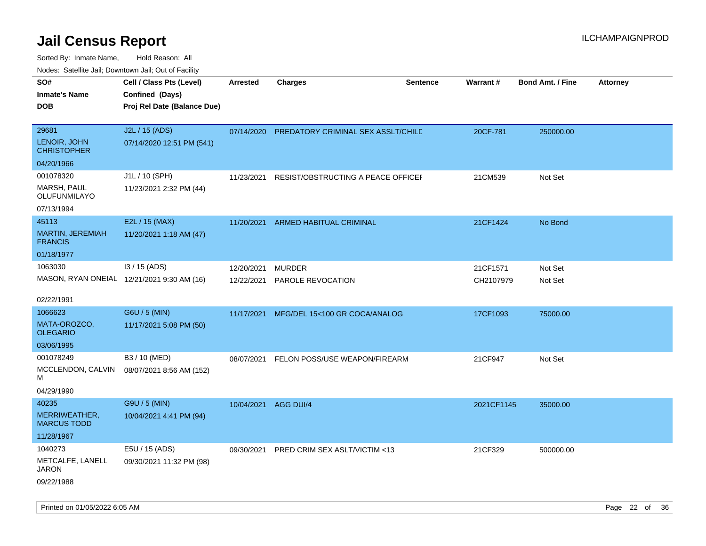| SO#<br><b>Inmate's Name</b><br>DOB   | Cell / Class Pts (Level)<br>Confined (Days)<br>Proj Rel Date (Balance Due) | Arrested             | <b>Charges</b>                     | <b>Sentence</b> | <b>Warrant#</b> | <b>Bond Amt. / Fine</b> | <b>Attorney</b> |
|--------------------------------------|----------------------------------------------------------------------------|----------------------|------------------------------------|-----------------|-----------------|-------------------------|-----------------|
| 29681<br>LENOIR, JOHN<br>CHRISTOPHER | J2L / 15 (ADS)<br>07/14/2020 12:51 PM (541)                                | 07/14/2020           | PREDATORY CRIMINAL SEX ASSLT/CHILD |                 | 20CF-781        | 250000.00               |                 |
| 04/20/1966                           |                                                                            |                      |                                    |                 |                 |                         |                 |
| 001078320                            | J1L / 10 (SPH)                                                             | 11/23/2021           | RESIST/OBSTRUCTING A PEACE OFFICEL |                 | 21CM539         | Not Set                 |                 |
| MARSH, PAUL<br>OLUFUNMILAYO          | 11/23/2021 2:32 PM (44)                                                    |                      |                                    |                 |                 |                         |                 |
| 07/13/1994                           |                                                                            |                      |                                    |                 |                 |                         |                 |
| 45113                                | E2L / 15 (MAX)                                                             | 11/20/2021           | <b>ARMED HABITUAL CRIMINAL</b>     |                 | 21CF1424        | No Bond                 |                 |
| MARTIN, JEREMIAH<br><b>FRANCIS</b>   | 11/20/2021 1:18 AM (47)                                                    |                      |                                    |                 |                 |                         |                 |
| 01/18/1977                           |                                                                            |                      |                                    |                 |                 |                         |                 |
| 1063030                              | $13/15$ (ADS)                                                              | 12/20/2021           | <b>MURDER</b>                      |                 | 21CF1571        | Not Set                 |                 |
|                                      | MASON, RYAN ONEIAL 12/21/2021 9:30 AM (16)                                 | 12/22/2021           | PAROLE REVOCATION                  |                 | CH2107979       | Not Set                 |                 |
| 02/22/1991                           |                                                                            |                      |                                    |                 |                 |                         |                 |
| 1066623                              | G6U / 5 (MIN)                                                              | 11/17/2021           | MFG/DEL 15<100 GR COCA/ANALOG      |                 | 17CF1093        | 75000.00                |                 |
| MATA-OROZCO,<br>OLEGARIO             | 11/17/2021 5:08 PM (50)                                                    |                      |                                    |                 |                 |                         |                 |
| 03/06/1995                           |                                                                            |                      |                                    |                 |                 |                         |                 |
| 001078249                            | B3 / 10 (MED)                                                              | 08/07/2021           | FELON POSS/USE WEAPON/FIREARM      |                 | 21CF947         | Not Set                 |                 |
| MCCLENDON, CALVIN<br>м               | 08/07/2021 8:56 AM (152)                                                   |                      |                                    |                 |                 |                         |                 |
| 04/29/1990                           |                                                                            |                      |                                    |                 |                 |                         |                 |
| 40235                                | G9U / 5 (MIN)                                                              | 10/04/2021 AGG DUI/4 |                                    |                 | 2021CF1145      | 35000.00                |                 |
| MERRIWEATHER,<br>MARCUS TODD         | 10/04/2021 4:41 PM (94)                                                    |                      |                                    |                 |                 |                         |                 |
| 11/28/1967                           |                                                                            |                      |                                    |                 |                 |                         |                 |
| 1040273                              | E5U / 15 (ADS)                                                             | 09/30/2021           | PRED CRIM SEX ASLT/VICTIM <13      |                 | 21CF329         | 500000.00               |                 |
| METCALFE, LANELL<br>JARON            | 09/30/2021 11:32 PM (98)                                                   |                      |                                    |                 |                 |                         |                 |
| 09/22/1988                           |                                                                            |                      |                                    |                 |                 |                         |                 |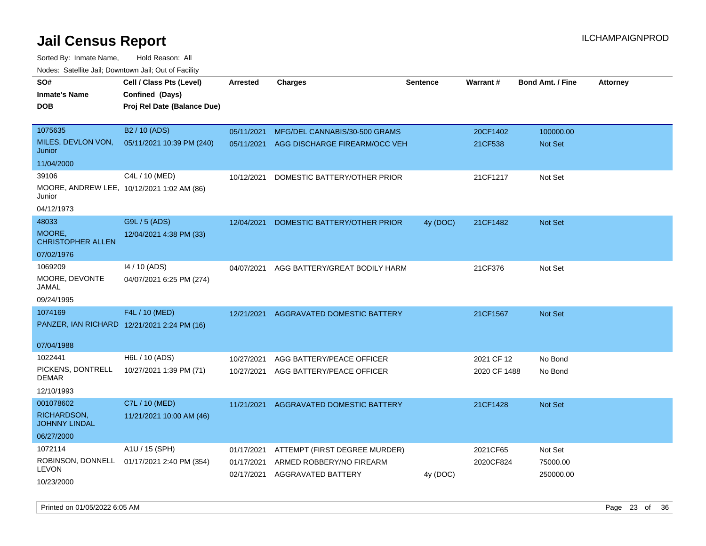Sorted By: Inmate Name, Hold Reason: All

| Nodes: Satellite Jail; Downtown Jail; Out of Facility |  |
|-------------------------------------------------------|--|
|                                                       |  |

| SO#<br><b>Inmate's Name</b>         | Cell / Class Pts (Level)<br>Confined (Days) | <b>Arrested</b> | <b>Charges</b>                           | <b>Sentence</b> | Warrant#     | Bond Amt. / Fine | <b>Attorney</b> |
|-------------------------------------|---------------------------------------------|-----------------|------------------------------------------|-----------------|--------------|------------------|-----------------|
| <b>DOB</b>                          | Proj Rel Date (Balance Due)                 |                 |                                          |                 |              |                  |                 |
| 1075635                             | B2 / 10 (ADS)                               | 05/11/2021      | MFG/DEL CANNABIS/30-500 GRAMS            |                 | 20CF1402     | 100000.00        |                 |
| MILES, DEVLON VON,<br>Junior        | 05/11/2021 10:39 PM (240)                   |                 | 05/11/2021 AGG DISCHARGE FIREARM/OCC VEH |                 | 21CF538      | Not Set          |                 |
| 11/04/2000                          |                                             |                 |                                          |                 |              |                  |                 |
| 39106                               | C4L / 10 (MED)                              | 10/12/2021      | DOMESTIC BATTERY/OTHER PRIOR             |                 | 21CF1217     | Not Set          |                 |
| Junior                              | MOORE, ANDREW LEE, 10/12/2021 1:02 AM (86)  |                 |                                          |                 |              |                  |                 |
| 04/12/1973                          |                                             |                 |                                          |                 |              |                  |                 |
| 48033                               | G9L / 5 (ADS)                               | 12/04/2021      | DOMESTIC BATTERY/OTHER PRIOR             | 4y (DOC)        | 21CF1482     | Not Set          |                 |
| MOORE,<br><b>CHRISTOPHER ALLEN</b>  | 12/04/2021 4:38 PM (33)                     |                 |                                          |                 |              |                  |                 |
| 07/02/1976                          |                                             |                 |                                          |                 |              |                  |                 |
| 1069209                             | 14 / 10 (ADS)                               | 04/07/2021      | AGG BATTERY/GREAT BODILY HARM            |                 | 21CF376      | Not Set          |                 |
| MOORE, DEVONTE<br><b>JAMAL</b>      | 04/07/2021 6:25 PM (274)                    |                 |                                          |                 |              |                  |                 |
| 09/24/1995                          |                                             |                 |                                          |                 |              |                  |                 |
| 1074169                             | F4L / 10 (MED)                              | 12/21/2021      | AGGRAVATED DOMESTIC BATTERY              |                 | 21CF1567     | Not Set          |                 |
|                                     | PANZER, IAN RICHARD 12/21/2021 2:24 PM (16) |                 |                                          |                 |              |                  |                 |
| 07/04/1988                          |                                             |                 |                                          |                 |              |                  |                 |
| 1022441                             | H6L / 10 (ADS)                              | 10/27/2021      | AGG BATTERY/PEACE OFFICER                |                 | 2021 CF 12   | No Bond          |                 |
| PICKENS, DONTRELL<br><b>DEMAR</b>   | 10/27/2021 1:39 PM (71)                     | 10/27/2021      | AGG BATTERY/PEACE OFFICER                |                 | 2020 CF 1488 | No Bond          |                 |
| 12/10/1993                          |                                             |                 |                                          |                 |              |                  |                 |
| 001078602                           | C7L / 10 (MED)                              | 11/21/2021      | <b>AGGRAVATED DOMESTIC BATTERY</b>       |                 | 21CF1428     | Not Set          |                 |
| RICHARDSON,<br><b>JOHNNY LINDAL</b> | 11/21/2021 10:00 AM (46)                    |                 |                                          |                 |              |                  |                 |
| 06/27/2000                          |                                             |                 |                                          |                 |              |                  |                 |
| 1072114                             | A1U / 15 (SPH)                              | 01/17/2021      | ATTEMPT (FIRST DEGREE MURDER)            |                 | 2021CF65     | Not Set          |                 |
| ROBINSON, DONNELL                   | 01/17/2021 2:40 PM (354)                    | 01/17/2021      | ARMED ROBBERY/NO FIREARM                 |                 | 2020CF824    | 75000.00         |                 |
| <b>LEVON</b><br>10/23/2000          |                                             |                 | 02/17/2021 AGGRAVATED BATTERY            | 4y (DOC)        |              | 250000.00        |                 |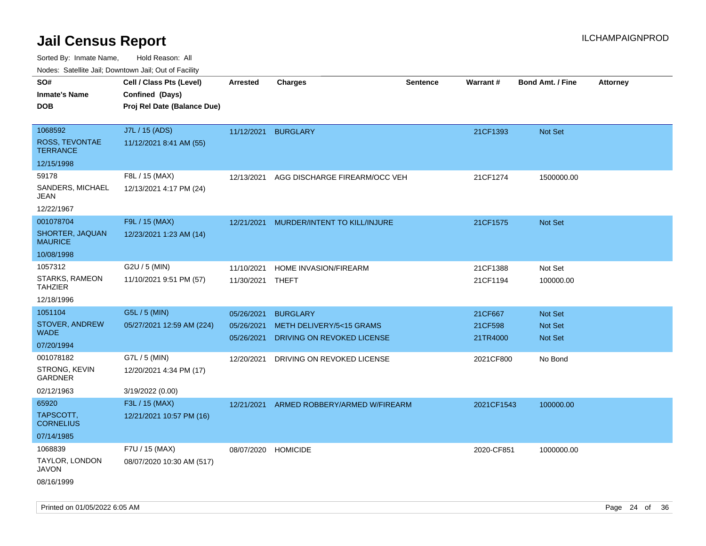Sorted By: Inmate Name, Hold Reason: All

Nodes: Satellite Jail; Downtown Jail; Out of Facility

| SO#                               | Cell / Class Pts (Level)    | <b>Arrested</b>     | <b>Charges</b>                | <b>Sentence</b> | Warrant#   | <b>Bond Amt. / Fine</b> | <b>Attorney</b> |
|-----------------------------------|-----------------------------|---------------------|-------------------------------|-----------------|------------|-------------------------|-----------------|
| <b>Inmate's Name</b>              | Confined (Days)             |                     |                               |                 |            |                         |                 |
| <b>DOB</b>                        | Proj Rel Date (Balance Due) |                     |                               |                 |            |                         |                 |
|                                   |                             |                     |                               |                 |            |                         |                 |
| 1068592                           | J7L / 15 (ADS)              | 11/12/2021          | <b>BURGLARY</b>               |                 | 21CF1393   | Not Set                 |                 |
| ROSS, TEVONTAE<br><b>TERRANCE</b> | 11/12/2021 8:41 AM (55)     |                     |                               |                 |            |                         |                 |
| 12/15/1998                        |                             |                     |                               |                 |            |                         |                 |
| 59178                             | F8L / 15 (MAX)              | 12/13/2021          | AGG DISCHARGE FIREARM/OCC VEH |                 | 21CF1274   | 1500000.00              |                 |
| SANDERS, MICHAEL<br>JEAN          | 12/13/2021 4:17 PM (24)     |                     |                               |                 |            |                         |                 |
| 12/22/1967                        |                             |                     |                               |                 |            |                         |                 |
| 001078704                         | F9L / 15 (MAX)              | 12/21/2021          | MURDER/INTENT TO KILL/INJURE  |                 | 21CF1575   | <b>Not Set</b>          |                 |
| SHORTER, JAQUAN<br><b>MAURICE</b> | 12/23/2021 1:23 AM (14)     |                     |                               |                 |            |                         |                 |
| 10/08/1998                        |                             |                     |                               |                 |            |                         |                 |
| 1057312                           | G2U / 5 (MIN)               | 11/10/2021          | HOME INVASION/FIREARM         |                 | 21CF1388   | Not Set                 |                 |
| STARKS, RAMEON<br><b>TAHZIER</b>  | 11/10/2021 9:51 PM (57)     | 11/30/2021          | THEFT                         |                 | 21CF1194   | 100000.00               |                 |
| 12/18/1996                        |                             |                     |                               |                 |            |                         |                 |
| 1051104                           | G5L / 5 (MIN)               | 05/26/2021          | <b>BURGLARY</b>               |                 | 21CF667    | <b>Not Set</b>          |                 |
| STOVER, ANDREW                    | 05/27/2021 12:59 AM (224)   | 05/26/2021          | METH DELIVERY/5<15 GRAMS      |                 | 21CF598    | <b>Not Set</b>          |                 |
| <b>WADE</b>                       |                             | 05/26/2021          | DRIVING ON REVOKED LICENSE    |                 | 21TR4000   | <b>Not Set</b>          |                 |
| 07/20/1994                        |                             |                     |                               |                 |            |                         |                 |
| 001078182                         | G7L / 5 (MIN)               | 12/20/2021          | DRIVING ON REVOKED LICENSE    |                 | 2021CF800  | No Bond                 |                 |
| STRONG, KEVIN<br><b>GARDNER</b>   | 12/20/2021 4:34 PM (17)     |                     |                               |                 |            |                         |                 |
| 02/12/1963                        | 3/19/2022 (0.00)            |                     |                               |                 |            |                         |                 |
| 65920                             | F3L / 15 (MAX)              | 12/21/2021          | ARMED ROBBERY/ARMED W/FIREARM |                 | 2021CF1543 | 100000.00               |                 |
| TAPSCOTT,<br><b>CORNELIUS</b>     | 12/21/2021 10:57 PM (16)    |                     |                               |                 |            |                         |                 |
| 07/14/1985                        |                             |                     |                               |                 |            |                         |                 |
| 1068839                           | F7U / 15 (MAX)              | 08/07/2020 HOMICIDE |                               |                 | 2020-CF851 | 1000000.00              |                 |
| TAYLOR, LONDON<br>JAVON           | 08/07/2020 10:30 AM (517)   |                     |                               |                 |            |                         |                 |
| 08/16/1999                        |                             |                     |                               |                 |            |                         |                 |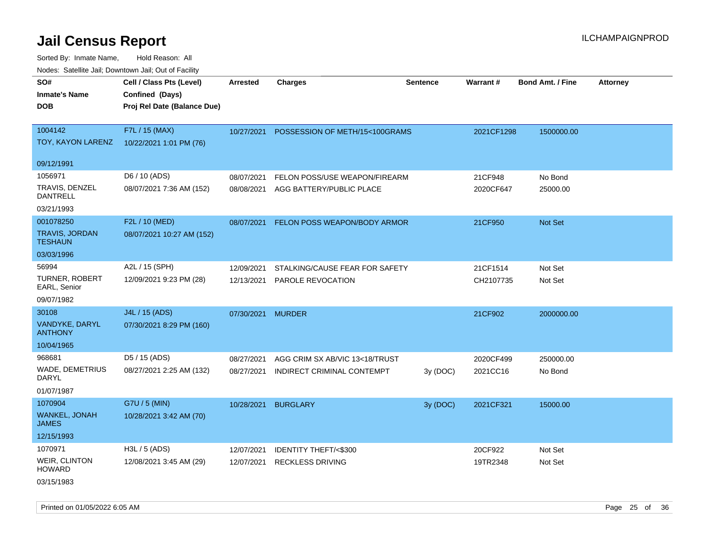Sorted By: Inmate Name, Hold Reason: All Nodes: Satellite Jail; Downtown Jail; Out of Facility

| SO#<br><b>Inmate's Name</b><br><b>DOB</b> | Cell / Class Pts (Level)<br>Confined (Days)<br>Proj Rel Date (Balance Due) | <b>Arrested</b> | <b>Charges</b>                  | <b>Sentence</b> | Warrant#   | <b>Bond Amt. / Fine</b> | <b>Attorney</b> |
|-------------------------------------------|----------------------------------------------------------------------------|-----------------|---------------------------------|-----------------|------------|-------------------------|-----------------|
| 1004142<br>TOY, KAYON LARENZ              | F7L / 15 (MAX)<br>10/22/2021 1:01 PM (76)                                  | 10/27/2021      | POSSESSION OF METH/15<100GRAMS  |                 | 2021CF1298 | 1500000.00              |                 |
| 09/12/1991                                |                                                                            |                 |                                 |                 |            |                         |                 |
| 1056971                                   | D6 / 10 (ADS)                                                              | 08/07/2021      | FELON POSS/USE WEAPON/FIREARM   |                 | 21CF948    | No Bond                 |                 |
| TRAVIS, DENZEL<br>DANTRELL                | 08/07/2021 7:36 AM (152)                                                   | 08/08/2021      | AGG BATTERY/PUBLIC PLACE        |                 | 2020CF647  | 25000.00                |                 |
| 03/21/1993                                |                                                                            |                 |                                 |                 |            |                         |                 |
| 001078250                                 | F2L / 10 (MED)                                                             | 08/07/2021      | FELON POSS WEAPON/BODY ARMOR    |                 | 21CF950    | <b>Not Set</b>          |                 |
| <b>TRAVIS, JORDAN</b><br><b>TESHAUN</b>   | 08/07/2021 10:27 AM (152)                                                  |                 |                                 |                 |            |                         |                 |
| 03/03/1996                                |                                                                            |                 |                                 |                 |            |                         |                 |
| 56994                                     | A2L / 15 (SPH)                                                             | 12/09/2021      | STALKING/CAUSE FEAR FOR SAFETY  |                 | 21CF1514   | Not Set                 |                 |
| <b>TURNER, ROBERT</b><br>EARL, Senior     | 12/09/2021 9:23 PM (28)                                                    | 12/13/2021      | PAROLE REVOCATION               |                 | CH2107735  | Not Set                 |                 |
| 09/07/1982                                |                                                                            |                 |                                 |                 |            |                         |                 |
| 30108                                     | J4L / 15 (ADS)                                                             | 07/30/2021      | <b>MURDER</b>                   |                 | 21CF902    | 2000000.00              |                 |
| VANDYKE, DARYL<br><b>ANTHONY</b>          | 07/30/2021 8:29 PM (160)                                                   |                 |                                 |                 |            |                         |                 |
| 10/04/1965                                |                                                                            |                 |                                 |                 |            |                         |                 |
| 968681                                    | D5 / 15 (ADS)                                                              | 08/27/2021      | AGG CRIM SX AB/VIC 13<18/TRUST  |                 | 2020CF499  | 250000.00               |                 |
| <b>WADE, DEMETRIUS</b><br>DARYL           | 08/27/2021 2:25 AM (132)                                                   | 08/27/2021      | INDIRECT CRIMINAL CONTEMPT      | 3y (DOC)        | 2021CC16   | No Bond                 |                 |
| 01/07/1987                                |                                                                            |                 |                                 |                 |            |                         |                 |
| 1070904                                   | G7U / 5 (MIN)                                                              | 10/28/2021      | <b>BURGLARY</b>                 | 3y (DOC)        | 2021CF321  | 15000.00                |                 |
| WANKEL, JONAH<br><b>JAMES</b>             | 10/28/2021 3:42 AM (70)                                                    |                 |                                 |                 |            |                         |                 |
| 12/15/1993                                |                                                                            |                 |                                 |                 |            |                         |                 |
| 1070971                                   | H3L / 5 (ADS)                                                              | 12/07/2021      | <b>IDENTITY THEFT/&lt;\$300</b> |                 | 20CF922    | Not Set                 |                 |
| WEIR, CLINTON<br><b>HOWARD</b>            | 12/08/2021 3:45 AM (29)                                                    | 12/07/2021      | <b>RECKLESS DRIVING</b>         |                 | 19TR2348   | Not Set                 |                 |
| $0.011 - 11000$                           |                                                                            |                 |                                 |                 |            |                         |                 |

03/15/1983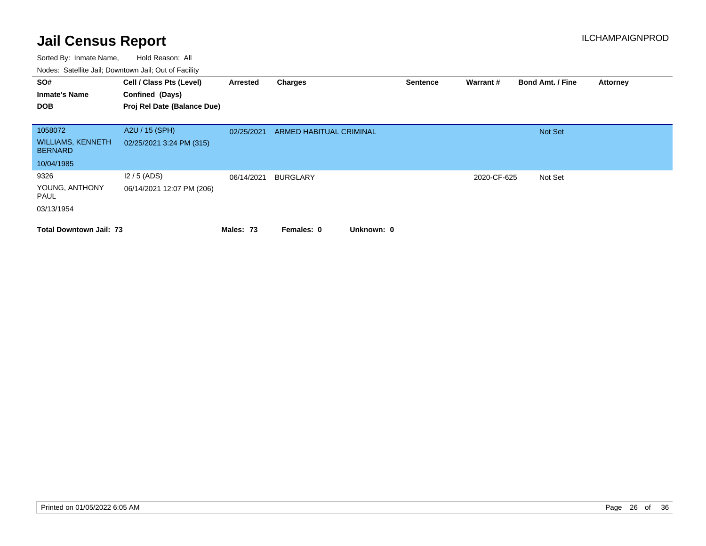| SO#                                        | Cell / Class Pts (Level)    | Arrested   | Charges                  | <b>Sentence</b> | Warrant#    | <b>Bond Amt. / Fine</b> | <b>Attorney</b> |
|--------------------------------------------|-----------------------------|------------|--------------------------|-----------------|-------------|-------------------------|-----------------|
| <b>Inmate's Name</b>                       | Confined (Days)             |            |                          |                 |             |                         |                 |
| <b>DOB</b>                                 | Proj Rel Date (Balance Due) |            |                          |                 |             |                         |                 |
|                                            |                             |            |                          |                 |             |                         |                 |
| 1058072                                    | A2U / 15 (SPH)              | 02/25/2021 | ARMED HABITUAL CRIMINAL  |                 |             | <b>Not Set</b>          |                 |
| <b>WILLIAMS, KENNETH</b><br><b>BERNARD</b> | 02/25/2021 3:24 PM (315)    |            |                          |                 |             |                         |                 |
| 10/04/1985                                 |                             |            |                          |                 |             |                         |                 |
| 9326                                       | $12/5$ (ADS)                | 06/14/2021 | <b>BURGLARY</b>          |                 | 2020-CF-625 | Not Set                 |                 |
| YOUNG, ANTHONY<br>PAUL                     | 06/14/2021 12:07 PM (206)   |            |                          |                 |             |                         |                 |
| 03/13/1954                                 |                             |            |                          |                 |             |                         |                 |
| <b>Total Downtown Jail: 73</b>             |                             | Males: 73  | Unknown: 0<br>Females: 0 |                 |             |                         |                 |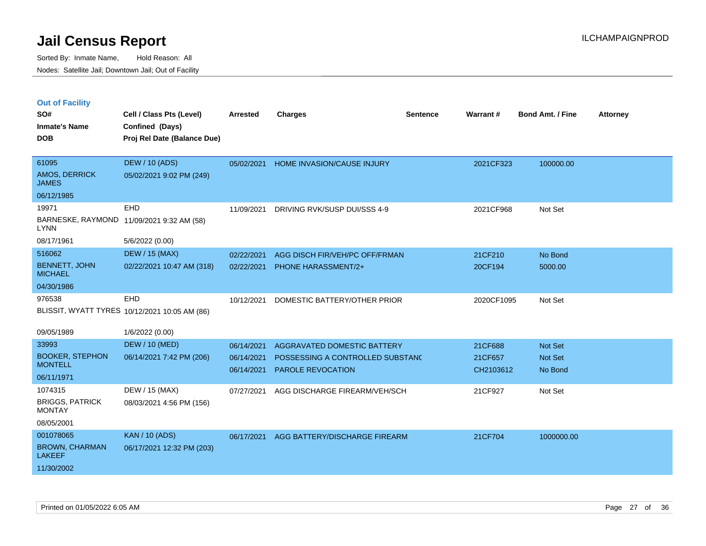|  | <b>Out of Facility</b> |  |
|--|------------------------|--|

| SO#<br><b>Inmate's Name</b><br><b>DOB</b> | Cell / Class Pts (Level)<br>Confined (Days)<br>Proj Rel Date (Balance Due) | <b>Arrested</b> | <b>Charges</b>                   | <b>Sentence</b> | <b>Warrant#</b> | Bond Amt. / Fine | <b>Attorney</b> |
|-------------------------------------------|----------------------------------------------------------------------------|-----------------|----------------------------------|-----------------|-----------------|------------------|-----------------|
| 61095<br>AMOS, DERRICK<br><b>JAMES</b>    | <b>DEW / 10 (ADS)</b><br>05/02/2021 9:02 PM (249)                          | 05/02/2021      | HOME INVASION/CAUSE INJURY       |                 | 2021CF323       | 100000.00        |                 |
| 06/12/1985                                |                                                                            |                 |                                  |                 |                 |                  |                 |
| 19971                                     | EHD                                                                        | 11/09/2021      | DRIVING RVK/SUSP DUI/SSS 4-9     |                 | 2021CF968       | Not Set          |                 |
| <b>LYNN</b>                               | BARNESKE, RAYMOND 11/09/2021 9:32 AM (58)                                  |                 |                                  |                 |                 |                  |                 |
| 08/17/1961                                | 5/6/2022 (0.00)                                                            |                 |                                  |                 |                 |                  |                 |
| 516062                                    | <b>DEW / 15 (MAX)</b>                                                      | 02/22/2021      | AGG DISCH FIR/VEH/PC OFF/FRMAN   |                 | 21CF210         | No Bond          |                 |
| <b>BENNETT, JOHN</b><br><b>MICHAEL</b>    | 02/22/2021 10:47 AM (318)                                                  | 02/22/2021      | <b>PHONE HARASSMENT/2+</b>       |                 | 20CF194         | 5000.00          |                 |
| 04/30/1986                                |                                                                            |                 |                                  |                 |                 |                  |                 |
| 976538                                    | EHD                                                                        | 10/12/2021      | DOMESTIC BATTERY/OTHER PRIOR     |                 | 2020CF1095      | Not Set          |                 |
|                                           | BLISSIT, WYATT TYRES 10/12/2021 10:05 AM (86)                              |                 |                                  |                 |                 |                  |                 |
| 09/05/1989                                | 1/6/2022 (0.00)                                                            |                 |                                  |                 |                 |                  |                 |
| 33993                                     | <b>DEW / 10 (MED)</b>                                                      | 06/14/2021      | AGGRAVATED DOMESTIC BATTERY      |                 | 21CF688         | Not Set          |                 |
| <b>BOOKER, STEPHON</b>                    | 06/14/2021 7:42 PM (206)                                                   | 06/14/2021      | POSSESSING A CONTROLLED SUBSTAND |                 | 21CF657         | Not Set          |                 |
| <b>MONTELL</b>                            |                                                                            | 06/14/2021      | PAROLE REVOCATION                |                 | CH2103612       | No Bond          |                 |
| 06/11/1971                                |                                                                            |                 |                                  |                 |                 |                  |                 |
| 1074315                                   | DEW / 15 (MAX)                                                             | 07/27/2021      | AGG DISCHARGE FIREARM/VEH/SCH    |                 | 21CF927         | Not Set          |                 |
| <b>BRIGGS, PATRICK</b><br><b>MONTAY</b>   | 08/03/2021 4:56 PM (156)                                                   |                 |                                  |                 |                 |                  |                 |
| 08/05/2001                                |                                                                            |                 |                                  |                 |                 |                  |                 |
| 001078065                                 | <b>KAN / 10 (ADS)</b>                                                      | 06/17/2021      | AGG BATTERY/DISCHARGE FIREARM    |                 | 21CF704         | 1000000.00       |                 |
| <b>BROWN, CHARMAN</b><br><b>LAKEEF</b>    | 06/17/2021 12:32 PM (203)                                                  |                 |                                  |                 |                 |                  |                 |
| 11/30/2002                                |                                                                            |                 |                                  |                 |                 |                  |                 |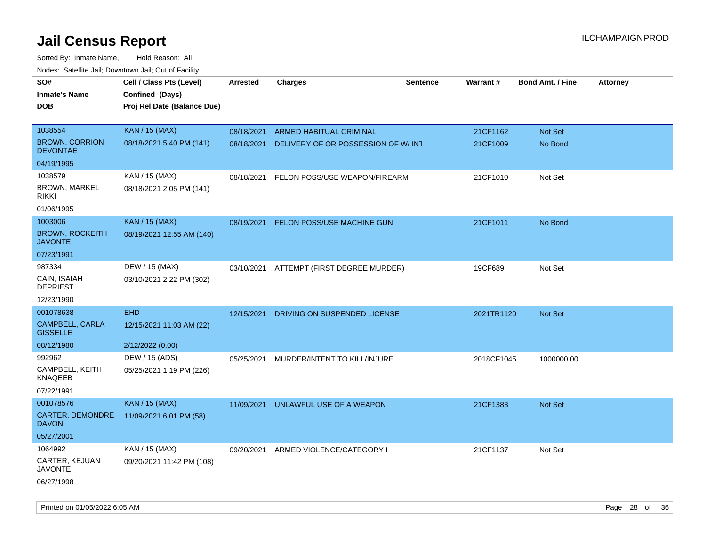| roaco. Catolino dall, Downtown dall, Out of Fability |                             |                 |                                     |                 |                 |                         |                 |
|------------------------------------------------------|-----------------------------|-----------------|-------------------------------------|-----------------|-----------------|-------------------------|-----------------|
| SO#                                                  | Cell / Class Pts (Level)    | <b>Arrested</b> | <b>Charges</b>                      | <b>Sentence</b> | <b>Warrant#</b> | <b>Bond Amt. / Fine</b> | <b>Attorney</b> |
| <b>Inmate's Name</b>                                 | Confined (Days)             |                 |                                     |                 |                 |                         |                 |
| <b>DOB</b>                                           | Proj Rel Date (Balance Due) |                 |                                     |                 |                 |                         |                 |
|                                                      |                             |                 |                                     |                 |                 |                         |                 |
| 1038554                                              | <b>KAN / 15 (MAX)</b>       | 08/18/2021      | <b>ARMED HABITUAL CRIMINAL</b>      |                 | 21CF1162        | Not Set                 |                 |
| <b>BROWN, CORRION</b><br><b>DEVONTAE</b>             | 08/18/2021 5:40 PM (141)    | 08/18/2021      | DELIVERY OF OR POSSESSION OF W/ INT |                 | 21CF1009        | No Bond                 |                 |
| 04/19/1995                                           |                             |                 |                                     |                 |                 |                         |                 |
| 1038579                                              | KAN / 15 (MAX)              | 08/18/2021      | FELON POSS/USE WEAPON/FIREARM       |                 | 21CF1010        | Not Set                 |                 |
| <b>BROWN, MARKEL</b><br><b>RIKKI</b>                 | 08/18/2021 2:05 PM (141)    |                 |                                     |                 |                 |                         |                 |
| 01/06/1995                                           |                             |                 |                                     |                 |                 |                         |                 |
| 1003006                                              | <b>KAN / 15 (MAX)</b>       | 08/19/2021      | <b>FELON POSS/USE MACHINE GUN</b>   |                 | 21CF1011        | No Bond                 |                 |
| <b>BROWN, ROCKEITH</b><br><b>JAVONTE</b>             | 08/19/2021 12:55 AM (140)   |                 |                                     |                 |                 |                         |                 |
| 07/23/1991                                           |                             |                 |                                     |                 |                 |                         |                 |
| 987334                                               | DEW / 15 (MAX)              | 03/10/2021      | ATTEMPT (FIRST DEGREE MURDER)       |                 | 19CF689         | Not Set                 |                 |
| CAIN, ISAIAH<br><b>DEPRIEST</b>                      | 03/10/2021 2:22 PM (302)    |                 |                                     |                 |                 |                         |                 |
| 12/23/1990                                           |                             |                 |                                     |                 |                 |                         |                 |
| 001078638                                            | <b>EHD</b>                  | 12/15/2021      | DRIVING ON SUSPENDED LICENSE        |                 | 2021TR1120      | Not Set                 |                 |
| CAMPBELL, CARLA<br><b>GISSELLE</b>                   | 12/15/2021 11:03 AM (22)    |                 |                                     |                 |                 |                         |                 |
| 08/12/1980                                           | 2/12/2022 (0.00)            |                 |                                     |                 |                 |                         |                 |
| 992962                                               | DEW / 15 (ADS)              | 05/25/2021      | MURDER/INTENT TO KILL/INJURE        |                 | 2018CF1045      | 1000000.00              |                 |
| CAMPBELL, KEITH<br>KNAQEEB                           | 05/25/2021 1:19 PM (226)    |                 |                                     |                 |                 |                         |                 |
| 07/22/1991                                           |                             |                 |                                     |                 |                 |                         |                 |
| 001078576                                            | <b>KAN / 15 (MAX)</b>       | 11/09/2021      | UNLAWFUL USE OF A WEAPON            |                 | 21CF1383        | <b>Not Set</b>          |                 |
| CARTER, DEMONDRE<br><b>DAVON</b>                     | 11/09/2021 6:01 PM (58)     |                 |                                     |                 |                 |                         |                 |
| 05/27/2001                                           |                             |                 |                                     |                 |                 |                         |                 |
| 1064992                                              | KAN / 15 (MAX)              | 09/20/2021      | ARMED VIOLENCE/CATEGORY I           |                 | 21CF1137        | Not Set                 |                 |
| CARTER, KEJUAN<br>JAVONTE                            | 09/20/2021 11:42 PM (108)   |                 |                                     |                 |                 |                         |                 |
| 06/27/1998                                           |                             |                 |                                     |                 |                 |                         |                 |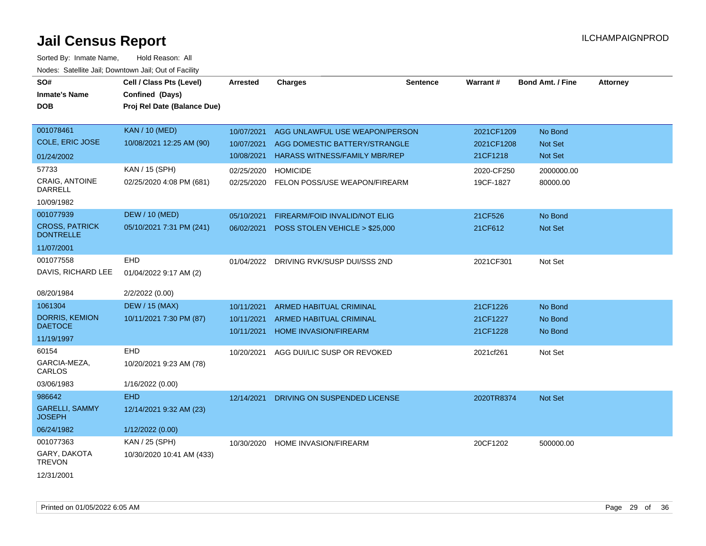| SO#<br><b>Inmate's Name</b><br><b>DOB</b> | Cell / Class Pts (Level)<br>Confined (Days)<br>Proj Rel Date (Balance Due) | <b>Arrested</b> | <b>Charges</b>                          | <b>Sentence</b> | Warrant#   | <b>Bond Amt. / Fine</b> | <b>Attorney</b> |
|-------------------------------------------|----------------------------------------------------------------------------|-----------------|-----------------------------------------|-----------------|------------|-------------------------|-----------------|
|                                           |                                                                            |                 |                                         |                 |            |                         |                 |
| 001078461                                 | <b>KAN / 10 (MED)</b>                                                      | 10/07/2021      | AGG UNLAWFUL USE WEAPON/PERSON          |                 | 2021CF1209 | No Bond                 |                 |
| <b>COLE, ERIC JOSE</b>                    | 10/08/2021 12:25 AM (90)                                                   | 10/07/2021      | AGG DOMESTIC BATTERY/STRANGLE           |                 | 2021CF1208 | Not Set                 |                 |
| 01/24/2002                                |                                                                            | 10/08/2021      | <b>HARASS WITNESS/FAMILY MBR/REP</b>    |                 | 21CF1218   | Not Set                 |                 |
| 57733                                     | KAN / 15 (SPH)                                                             | 02/25/2020      | <b>HOMICIDE</b>                         |                 | 2020-CF250 | 2000000.00              |                 |
| <b>CRAIG, ANTOINE</b><br><b>DARRELL</b>   | 02/25/2020 4:08 PM (681)                                                   | 02/25/2020      | FELON POSS/USE WEAPON/FIREARM           |                 | 19CF-1827  | 80000.00                |                 |
| 10/09/1982                                |                                                                            |                 |                                         |                 |            |                         |                 |
| 001077939                                 | <b>DEW / 10 (MED)</b>                                                      | 05/10/2021      | FIREARM/FOID INVALID/NOT ELIG           |                 | 21CF526    | No Bond                 |                 |
| <b>CROSS, PATRICK</b><br><b>DONTRELLE</b> | 05/10/2021 7:31 PM (241)                                                   | 06/02/2021      | POSS STOLEN VEHICLE > \$25,000          |                 | 21CF612    | Not Set                 |                 |
| 11/07/2001                                |                                                                            |                 |                                         |                 |            |                         |                 |
| 001077558                                 | <b>EHD</b>                                                                 | 01/04/2022      | DRIVING RVK/SUSP DUI/SSS 2ND            |                 | 2021CF301  | Not Set                 |                 |
| DAVIS, RICHARD LEE                        | 01/04/2022 9:17 AM (2)                                                     |                 |                                         |                 |            |                         |                 |
| 08/20/1984                                | 2/2/2022 (0.00)                                                            |                 |                                         |                 |            |                         |                 |
| 1061304                                   | <b>DEW / 15 (MAX)</b>                                                      | 10/11/2021      | <b>ARMED HABITUAL CRIMINAL</b>          |                 | 21CF1226   | No Bond                 |                 |
| <b>DORRIS, KEMION</b>                     | 10/11/2021 7:30 PM (87)                                                    | 10/11/2021      | <b>ARMED HABITUAL CRIMINAL</b>          |                 | 21CF1227   | No Bond                 |                 |
| <b>DAETOCE</b>                            |                                                                            | 10/11/2021      | HOME INVASION/FIREARM                   |                 | 21CF1228   | No Bond                 |                 |
| 11/19/1997                                |                                                                            |                 |                                         |                 |            |                         |                 |
| 60154                                     | EHD                                                                        | 10/20/2021      | AGG DUI/LIC SUSP OR REVOKED             |                 | 2021cf261  | Not Set                 |                 |
| GARCIA-MEZA,<br>CARLOS                    | 10/20/2021 9:23 AM (78)                                                    |                 |                                         |                 |            |                         |                 |
| 03/06/1983                                | 1/16/2022 (0.00)                                                           |                 |                                         |                 |            |                         |                 |
| 986642                                    | <b>EHD</b>                                                                 |                 | 12/14/2021 DRIVING ON SUSPENDED LICENSE |                 | 2020TR8374 | Not Set                 |                 |
| <b>GARELLI, SAMMY</b><br><b>JOSEPH</b>    | 12/14/2021 9:32 AM (23)                                                    |                 |                                         |                 |            |                         |                 |
| 06/24/1982                                | 1/12/2022 (0.00)                                                           |                 |                                         |                 |            |                         |                 |
| 001077363                                 | KAN / 25 (SPH)                                                             | 10/30/2020      | <b>HOME INVASION/FIREARM</b>            |                 | 20CF1202   | 500000.00               |                 |
| GARY, DAKOTA<br><b>TREVON</b>             | 10/30/2020 10:41 AM (433)                                                  |                 |                                         |                 |            |                         |                 |
| 12/31/2001                                |                                                                            |                 |                                         |                 |            |                         |                 |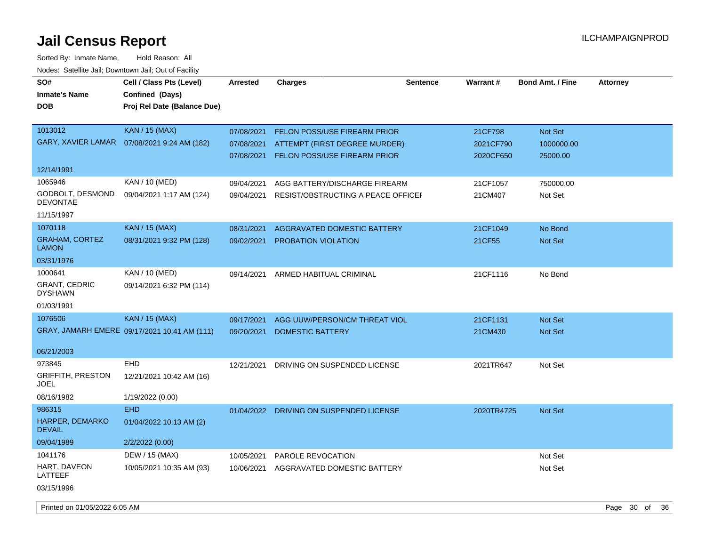Sorted By: Inmate Name, Hold Reason: All Nodes: Satellite Jail; Downtown Jail; Out of Facility

| SO#<br><b>Inmate's Name</b>           | Cell / Class Pts (Level)<br>Confined (Days)  | <b>Arrested</b> | <b>Charges</b>                          | <b>Sentence</b> | Warrant#   | <b>Bond Amt. / Fine</b> | <b>Attorney</b> |
|---------------------------------------|----------------------------------------------|-----------------|-----------------------------------------|-----------------|------------|-------------------------|-----------------|
| <b>DOB</b>                            | Proj Rel Date (Balance Due)                  |                 |                                         |                 |            |                         |                 |
| 1013012                               | <b>KAN / 15 (MAX)</b>                        | 07/08/2021      | <b>FELON POSS/USE FIREARM PRIOR</b>     |                 | 21CF798    | Not Set                 |                 |
|                                       | GARY, XAVIER LAMAR  07/08/2021 9:24 AM (182) | 07/08/2021      | ATTEMPT (FIRST DEGREE MURDER)           |                 | 2021CF790  | 1000000.00              |                 |
|                                       |                                              | 07/08/2021      | FELON POSS/USE FIREARM PRIOR            |                 | 2020CF650  | 25000.00                |                 |
| 12/14/1991                            |                                              |                 |                                         |                 |            |                         |                 |
| 1065946                               | KAN / 10 (MED)                               | 09/04/2021      | AGG BATTERY/DISCHARGE FIREARM           |                 | 21CF1057   | 750000.00               |                 |
| GODBOLT, DESMOND<br><b>DEVONTAE</b>   | 09/04/2021 1:17 AM (124)                     | 09/04/2021      | RESIST/OBSTRUCTING A PEACE OFFICE       |                 | 21CM407    | Not Set                 |                 |
| 11/15/1997                            |                                              |                 |                                         |                 |            |                         |                 |
| 1070118                               | <b>KAN / 15 (MAX)</b>                        | 08/31/2021      | <b>AGGRAVATED DOMESTIC BATTERY</b>      |                 | 21CF1049   | No Bond                 |                 |
| <b>GRAHAM, CORTEZ</b><br><b>LAMON</b> | 08/31/2021 9:32 PM (128)                     | 09/02/2021      | <b>PROBATION VIOLATION</b>              |                 | 21CF55     | Not Set                 |                 |
| 03/31/1976                            |                                              |                 |                                         |                 |            |                         |                 |
| 1000641<br><b>GRANT, CEDRIC</b>       | KAN / 10 (MED)<br>09/14/2021 6:32 PM (114)   | 09/14/2021      | ARMED HABITUAL CRIMINAL                 |                 | 21CF1116   | No Bond                 |                 |
| <b>DYSHAWN</b>                        |                                              |                 |                                         |                 |            |                         |                 |
| 01/03/1991                            |                                              |                 |                                         |                 |            |                         |                 |
| 1076506                               | <b>KAN / 15 (MAX)</b>                        | 09/17/2021      | AGG UUW/PERSON/CM THREAT VIOL           |                 | 21CF1131   | <b>Not Set</b>          |                 |
|                                       | GRAY, JAMARH EMERE 09/17/2021 10:41 AM (111) | 09/20/2021      | <b>DOMESTIC BATTERY</b>                 |                 | 21CM430    | <b>Not Set</b>          |                 |
| 06/21/2003                            |                                              |                 |                                         |                 |            |                         |                 |
| 973845                                | <b>EHD</b>                                   | 12/21/2021      | DRIVING ON SUSPENDED LICENSE            |                 | 2021TR647  | Not Set                 |                 |
| <b>GRIFFITH, PRESTON</b><br>JOEL      | 12/21/2021 10:42 AM (16)                     |                 |                                         |                 |            |                         |                 |
| 08/16/1982                            | 1/19/2022 (0.00)                             |                 |                                         |                 |            |                         |                 |
| 986315                                | <b>EHD</b>                                   |                 | 01/04/2022 DRIVING ON SUSPENDED LICENSE |                 | 2020TR4725 | Not Set                 |                 |
| HARPER, DEMARKO<br><b>DEVAIL</b>      | 01/04/2022 10:13 AM (2)                      |                 |                                         |                 |            |                         |                 |
| 09/04/1989                            | 2/2/2022 (0.00)                              |                 |                                         |                 |            |                         |                 |
| 1041176                               | DEW / 15 (MAX)                               | 10/05/2021      | PAROLE REVOCATION                       |                 |            | Not Set                 |                 |
| HART, DAVEON<br>LATTEEF               | 10/05/2021 10:35 AM (93)                     | 10/06/2021      | AGGRAVATED DOMESTIC BATTERY             |                 |            | Not Set                 |                 |
| 03/15/1996                            |                                              |                 |                                         |                 |            |                         |                 |

Printed on 01/05/2022 6:05 AM **Page 30** of 36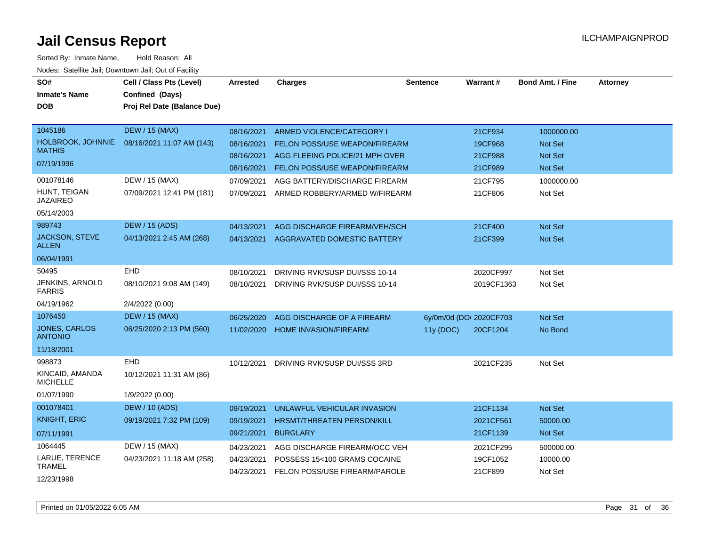| SO#<br><b>Inmate's Name</b><br><b>DOB</b> | Cell / Class Pts (Level)<br>Confined (Days)<br>Proj Rel Date (Balance Due) | Arrested   | <b>Charges</b>                                                | <b>Sentence</b>         | Warrant#   | <b>Bond Amt. / Fine</b> | <b>Attorney</b> |
|-------------------------------------------|----------------------------------------------------------------------------|------------|---------------------------------------------------------------|-------------------------|------------|-------------------------|-----------------|
| 1045186                                   | <b>DEW / 15 (MAX)</b>                                                      | 08/16/2021 | ARMED VIOLENCE/CATEGORY I                                     |                         | 21CF934    | 1000000.00              |                 |
| <b>HOLBROOK, JOHNNIE</b><br><b>MATHIS</b> | 08/16/2021 11:07 AM (143)                                                  | 08/16/2021 | FELON POSS/USE WEAPON/FIREARM                                 |                         | 19CF968    | <b>Not Set</b>          |                 |
| 07/19/1996                                |                                                                            | 08/16/2021 | AGG FLEEING POLICE/21 MPH OVER                                |                         | 21CF988    | <b>Not Set</b>          |                 |
|                                           |                                                                            | 08/16/2021 | <b>FELON POSS/USE WEAPON/FIREARM</b>                          |                         | 21CF989    | Not Set                 |                 |
| 001078146                                 | DEW / 15 (MAX)                                                             | 07/09/2021 | AGG BATTERY/DISCHARGE FIREARM                                 |                         | 21CF795    | 1000000.00              |                 |
| HUNT, TEIGAN<br><b>JAZAIREO</b>           | 07/09/2021 12:41 PM (181)                                                  | 07/09/2021 | ARMED ROBBERY/ARMED W/FIREARM                                 |                         | 21CF806    | Not Set                 |                 |
| 05/14/2003                                |                                                                            |            |                                                               |                         |            |                         |                 |
| 989743                                    | <b>DEW / 15 (ADS)</b>                                                      | 04/13/2021 | AGG DISCHARGE FIREARM/VEH/SCH                                 |                         | 21CF400    | <b>Not Set</b>          |                 |
| <b>JACKSON, STEVE</b><br><b>ALLEN</b>     | 04/13/2021 2:45 AM (268)                                                   | 04/13/2021 | AGGRAVATED DOMESTIC BATTERY                                   |                         | 21CF399    | Not Set                 |                 |
| 06/04/1991                                |                                                                            |            |                                                               |                         |            |                         |                 |
| 50495                                     | EHD                                                                        | 08/10/2021 | DRIVING RVK/SUSP DUI/SSS 10-14                                |                         | 2020CF997  | Not Set                 |                 |
| JENKINS, ARNOLD<br><b>FARRIS</b>          | 08/10/2021 9:08 AM (149)                                                   | 08/10/2021 | DRIVING RVK/SUSP DUI/SSS 10-14                                |                         | 2019CF1363 | Not Set                 |                 |
| 04/19/1962                                | 2/4/2022 (0.00)                                                            |            |                                                               |                         |            |                         |                 |
| 1076450                                   | <b>DEW / 15 (MAX)</b>                                                      | 06/25/2020 | AGG DISCHARGE OF A FIREARM                                    | 6y/0m/0d (DOI 2020CF703 |            | Not Set                 |                 |
| <b>JONES, CARLOS</b><br><b>ANTONIO</b>    | 06/25/2020 2:13 PM (560)                                                   | 11/02/2020 | <b>HOME INVASION/FIREARM</b>                                  | 11y (DOC)               | 20CF1204   | No Bond                 |                 |
| 11/18/2001                                |                                                                            |            |                                                               |                         |            |                         |                 |
| 998873                                    | EHD                                                                        | 10/12/2021 | DRIVING RVK/SUSP DUI/SSS 3RD                                  |                         | 2021CF235  | Not Set                 |                 |
| KINCAID, AMANDA<br><b>MICHELLE</b>        | 10/12/2021 11:31 AM (86)                                                   |            |                                                               |                         |            |                         |                 |
| 01/07/1990                                | 1/9/2022 (0.00)                                                            |            |                                                               |                         |            |                         |                 |
| 001078401                                 | <b>DEW</b> / 10 (ADS)                                                      | 09/19/2021 | UNLAWFUL VEHICULAR INVASION                                   |                         | 21CF1134   | Not Set                 |                 |
| <b>KNIGHT, ERIC</b>                       | 09/19/2021 7:32 PM (109)                                                   | 09/19/2021 | <b>HRSMT/THREATEN PERSON/KILL</b>                             |                         | 2021CF561  | 50000.00                |                 |
| 07/11/1991                                |                                                                            | 09/21/2021 | <b>BURGLARY</b>                                               |                         | 21CF1139   | Not Set                 |                 |
| 1064445                                   | DEW / 15 (MAX)                                                             | 04/23/2021 | AGG DISCHARGE FIREARM/OCC VEH                                 |                         | 2021CF295  | 500000.00               |                 |
| LARUE, TERENCE<br><b>TRAMEL</b>           | 04/23/2021 11:18 AM (258)                                                  | 04/23/2021 | POSSESS 15<100 GRAMS COCAINE<br>FELON POSS/USE FIREARM/PAROLE |                         | 19CF1052   | 10000.00<br>Not Set     |                 |
| 12/23/1998                                |                                                                            | 04/23/2021 |                                                               |                         | 21CF899    |                         |                 |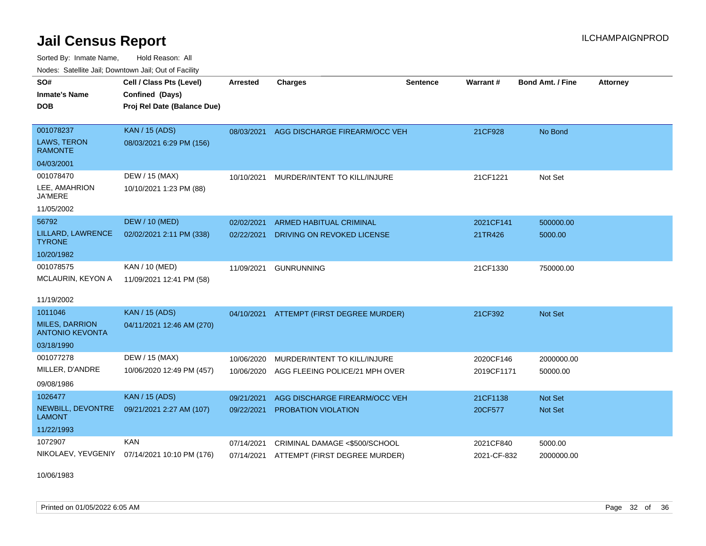Sorted By: Inmate Name, Hold Reason: All Nodes: Satellite Jail; Downtown Jail; Out of Facility

| SO#<br><b>Inmate's Name</b><br><b>DOB</b>                  | Cell / Class Pts (Level)<br>Confined (Days)<br>Proj Rel Date (Balance Due) | Arrested   | <b>Charges</b>                           | <b>Sentence</b> | Warrant #   | <b>Bond Amt. / Fine</b> | <b>Attorney</b> |
|------------------------------------------------------------|----------------------------------------------------------------------------|------------|------------------------------------------|-----------------|-------------|-------------------------|-----------------|
| 001078237<br>LAWS, TERON<br><b>RAMONTE</b><br>04/03/2001   | <b>KAN</b> / 15 (ADS)<br>08/03/2021 6:29 PM (156)                          | 08/03/2021 | AGG DISCHARGE FIREARM/OCC VEH            |                 | 21CF928     | No Bond                 |                 |
| 001078470<br>LEE, AMAHRION<br><b>JA'MERE</b><br>11/05/2002 | DEW / 15 (MAX)<br>10/10/2021 1:23 PM (88)                                  | 10/10/2021 | MURDER/INTENT TO KILL/INJURE             |                 | 21CF1221    | Not Set                 |                 |
| 56792                                                      | <b>DEW / 10 (MED)</b>                                                      | 02/02/2021 | ARMED HABITUAL CRIMINAL                  |                 | 2021CF141   | 500000.00               |                 |
| LILLARD, LAWRENCE<br><b>TYRONE</b>                         | 02/02/2021 2:11 PM (338)                                                   | 02/22/2021 | DRIVING ON REVOKED LICENSE               |                 | 21TR426     | 5000.00                 |                 |
| 10/20/1982                                                 |                                                                            |            |                                          |                 |             |                         |                 |
| 001078575                                                  | KAN / 10 (MED)                                                             | 11/09/2021 | <b>GUNRUNNING</b>                        |                 | 21CF1330    | 750000.00               |                 |
| MCLAURIN, KEYON A<br>11/19/2002                            | 11/09/2021 12:41 PM (58)                                                   |            |                                          |                 |             |                         |                 |
| 1011046                                                    | <b>KAN / 15 (ADS)</b>                                                      |            | 04/10/2021 ATTEMPT (FIRST DEGREE MURDER) |                 | 21CF392     | Not Set                 |                 |
| <b>MILES, DARRION</b><br><b>ANTONIO KEVONTA</b>            | 04/11/2021 12:46 AM (270)                                                  |            |                                          |                 |             |                         |                 |
| 03/18/1990                                                 |                                                                            |            |                                          |                 |             |                         |                 |
| 001077278                                                  | DEW / 15 (MAX)                                                             | 10/06/2020 | MURDER/INTENT TO KILL/INJURE             |                 | 2020CF146   | 2000000.00              |                 |
| MILLER, D'ANDRE<br>09/08/1986                              | 10/06/2020 12:49 PM (457)                                                  | 10/06/2020 | AGG FLEEING POLICE/21 MPH OVER           |                 | 2019CF1171  | 50000.00                |                 |
| 1026477                                                    | <b>KAN / 15 (ADS)</b>                                                      | 09/21/2021 | AGG DISCHARGE FIREARM/OCC VEH            |                 | 21CF1138    | Not Set                 |                 |
| NEWBILL, DEVONTRE<br><b>LAMONT</b>                         | 09/21/2021 2:27 AM (107)                                                   | 09/22/2021 | PROBATION VIOLATION                      |                 | 20CF577     | Not Set                 |                 |
| 11/22/1993                                                 |                                                                            |            |                                          |                 |             |                         |                 |
| 1072907                                                    | <b>KAN</b>                                                                 | 07/14/2021 | CRIMINAL DAMAGE <\$500/SCHOOL            |                 | 2021CF840   | 5000.00                 |                 |
| NIKOLAEV, YEVGENIY                                         | 07/14/2021 10:10 PM (176)                                                  | 07/14/2021 | ATTEMPT (FIRST DEGREE MURDER)            |                 | 2021-CF-832 | 2000000.00              |                 |

10/06/1983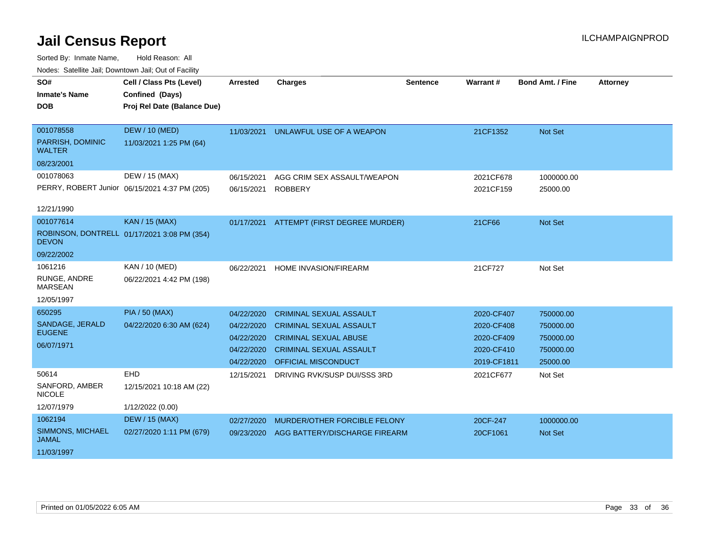| Todos. Catolino can, Downtown can, Out of Fability |                                               |            |                                |                 |                 |                         |                 |
|----------------------------------------------------|-----------------------------------------------|------------|--------------------------------|-----------------|-----------------|-------------------------|-----------------|
| SO#                                                | Cell / Class Pts (Level)                      | Arrested   | <b>Charges</b>                 | <b>Sentence</b> | <b>Warrant#</b> | <b>Bond Amt. / Fine</b> | <b>Attorney</b> |
| <b>Inmate's Name</b>                               | Confined (Days)                               |            |                                |                 |                 |                         |                 |
| <b>DOB</b>                                         | Proj Rel Date (Balance Due)                   |            |                                |                 |                 |                         |                 |
|                                                    |                                               |            |                                |                 |                 |                         |                 |
| 001078558                                          | DEW / 10 (MED)                                | 11/03/2021 | UNLAWFUL USE OF A WEAPON       |                 | 21CF1352        | Not Set                 |                 |
| PARRISH, DOMINIC<br><b>WALTER</b>                  | 11/03/2021 1:25 PM (64)                       |            |                                |                 |                 |                         |                 |
| 08/23/2001                                         |                                               |            |                                |                 |                 |                         |                 |
| 001078063                                          | DEW / 15 (MAX)                                | 06/15/2021 | AGG CRIM SEX ASSAULT/WEAPON    |                 | 2021CF678       | 1000000.00              |                 |
|                                                    | PERRY, ROBERT Junior 06/15/2021 4:37 PM (205) | 06/15/2021 | <b>ROBBERY</b>                 |                 | 2021CF159       | 25000.00                |                 |
| 12/21/1990                                         |                                               |            |                                |                 |                 |                         |                 |
| 001077614                                          | <b>KAN / 15 (MAX)</b>                         | 01/17/2021 | ATTEMPT (FIRST DEGREE MURDER)  |                 | 21CF66          | Not Set                 |                 |
| <b>DEVON</b>                                       | ROBINSON, DONTRELL 01/17/2021 3:08 PM (354)   |            |                                |                 |                 |                         |                 |
| 09/22/2002                                         |                                               |            |                                |                 |                 |                         |                 |
| 1061216                                            | KAN / 10 (MED)                                | 06/22/2021 | <b>HOME INVASION/FIREARM</b>   |                 | 21CF727         | Not Set                 |                 |
| RUNGE, ANDRE<br><b>MARSEAN</b>                     | 06/22/2021 4:42 PM (198)                      |            |                                |                 |                 |                         |                 |
| 12/05/1997                                         |                                               |            |                                |                 |                 |                         |                 |
| 650295                                             | <b>PIA / 50 (MAX)</b>                         | 04/22/2020 | <b>CRIMINAL SEXUAL ASSAULT</b> |                 | 2020-CF407      | 750000.00               |                 |
| SANDAGE, JERALD                                    | 04/22/2020 6:30 AM (624)                      | 04/22/2020 | <b>CRIMINAL SEXUAL ASSAULT</b> |                 | 2020-CF408      | 750000.00               |                 |
| <b>EUGENE</b>                                      |                                               | 04/22/2020 | <b>CRIMINAL SEXUAL ABUSE</b>   |                 | 2020-CF409      | 750000.00               |                 |
| 06/07/1971                                         |                                               | 04/22/2020 | <b>CRIMINAL SEXUAL ASSAULT</b> |                 | 2020-CF410      | 750000.00               |                 |
|                                                    |                                               | 04/22/2020 | <b>OFFICIAL MISCONDUCT</b>     |                 | 2019-CF1811     | 25000.00                |                 |
| 50614                                              | <b>EHD</b>                                    | 12/15/2021 | DRIVING RVK/SUSP DUI/SSS 3RD   |                 | 2021CF677       | Not Set                 |                 |
| SANFORD, AMBER<br><b>NICOLE</b>                    | 12/15/2021 10:18 AM (22)                      |            |                                |                 |                 |                         |                 |
| 12/07/1979                                         | 1/12/2022 (0.00)                              |            |                                |                 |                 |                         |                 |
| 1062194                                            | <b>DEW / 15 (MAX)</b>                         | 02/27/2020 | MURDER/OTHER FORCIBLE FELONY   |                 | 20CF-247        | 1000000.00              |                 |
| SIMMONS, MICHAEL<br><b>JAMAL</b>                   | 02/27/2020 1:11 PM (679)                      | 09/23/2020 | AGG BATTERY/DISCHARGE FIREARM  |                 | 20CF1061        | <b>Not Set</b>          |                 |
| 11/03/1997                                         |                                               |            |                                |                 |                 |                         |                 |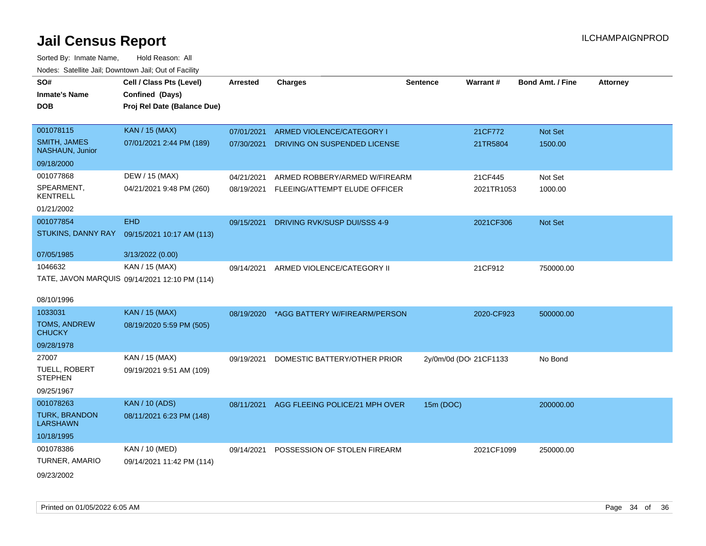| SO#<br><b>Inmate's Name</b>                   | Cell / Class Pts (Level)<br>Confined (Days)   | <b>Arrested</b> | <b>Charges</b>                 | <b>Sentence</b>        | Warrant#   | <b>Bond Amt. / Fine</b> | <b>Attorney</b> |
|-----------------------------------------------|-----------------------------------------------|-----------------|--------------------------------|------------------------|------------|-------------------------|-----------------|
| DOB                                           | Proj Rel Date (Balance Due)                   |                 |                                |                        |            |                         |                 |
| 001078115                                     | <b>KAN / 15 (MAX)</b>                         | 07/01/2021      | ARMED VIOLENCE/CATEGORY I      |                        | 21CF772    | <b>Not Set</b>          |                 |
| <b>SMITH, JAMES</b><br><b>NASHAUN, Junior</b> | 07/01/2021 2:44 PM (189)                      | 07/30/2021      | DRIVING ON SUSPENDED LICENSE   |                        | 21TR5804   | 1500.00                 |                 |
| 09/18/2000                                    |                                               |                 |                                |                        |            |                         |                 |
| 001077868                                     | DEW / 15 (MAX)                                | 04/21/2021      | ARMED ROBBERY/ARMED W/FIREARM  |                        | 21CF445    | Not Set                 |                 |
| SPEARMENT,<br><b>KENTRELL</b>                 | 04/21/2021 9:48 PM (260)                      | 08/19/2021      | FLEEING/ATTEMPT ELUDE OFFICER  |                        | 2021TR1053 | 1000.00                 |                 |
| 01/21/2002                                    |                                               |                 |                                |                        |            |                         |                 |
| 001077854                                     | <b>EHD</b>                                    | 09/15/2021      | DRIVING RVK/SUSP DUI/SSS 4-9   |                        | 2021CF306  | Not Set                 |                 |
| STUKINS, DANNY RAY                            | 09/15/2021 10:17 AM (113)                     |                 |                                |                        |            |                         |                 |
| 07/05/1985                                    | 3/13/2022 (0.00)                              |                 |                                |                        |            |                         |                 |
| 1046632                                       | KAN / 15 (MAX)                                | 09/14/2021      | ARMED VIOLENCE/CATEGORY II     |                        | 21CF912    | 750000.00               |                 |
|                                               | TATE, JAVON MARQUIS 09/14/2021 12:10 PM (114) |                 |                                |                        |            |                         |                 |
| 08/10/1996                                    |                                               |                 |                                |                        |            |                         |                 |
| 1033031                                       | <b>KAN / 15 (MAX)</b>                         | 08/19/2020      | *AGG BATTERY W/FIREARM/PERSON  |                        | 2020-CF923 | 500000.00               |                 |
| <b>TOMS, ANDREW</b><br><b>CHUCKY</b>          | 08/19/2020 5:59 PM (505)                      |                 |                                |                        |            |                         |                 |
| 09/28/1978                                    |                                               |                 |                                |                        |            |                         |                 |
| 27007                                         | KAN / 15 (MAX)                                | 09/19/2021      | DOMESTIC BATTERY/OTHER PRIOR   | 2y/0m/0d (DOI 21CF1133 |            | No Bond                 |                 |
| TUELL, ROBERT<br><b>STEPHEN</b>               | 09/19/2021 9:51 AM (109)                      |                 |                                |                        |            |                         |                 |
| 09/25/1967                                    |                                               |                 |                                |                        |            |                         |                 |
| 001078263                                     | <b>KAN / 10 (ADS)</b>                         | 08/11/2021      | AGG FLEEING POLICE/21 MPH OVER | 15m (DOC)              |            | 200000.00               |                 |
| <b>TURK, BRANDON</b><br><b>LARSHAWN</b>       | 08/11/2021 6:23 PM (148)                      |                 |                                |                        |            |                         |                 |
| 10/18/1995                                    |                                               |                 |                                |                        |            |                         |                 |
| 001078386                                     | KAN / 10 (MED)                                | 09/14/2021      | POSSESSION OF STOLEN FIREARM   |                        | 2021CF1099 | 250000.00               |                 |
| TURNER, AMARIO                                | 09/14/2021 11:42 PM (114)                     |                 |                                |                        |            |                         |                 |
| 09/23/2002                                    |                                               |                 |                                |                        |            |                         |                 |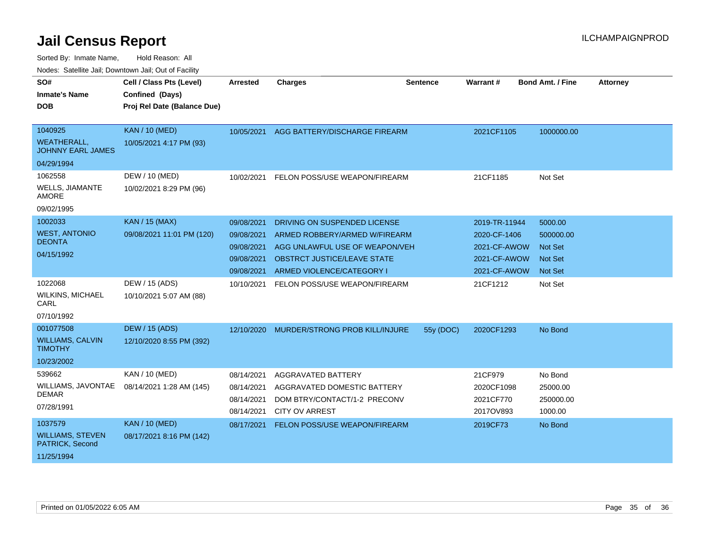| SO#<br><b>Inmate's Name</b><br><b>DOB</b>                               | Cell / Class Pts (Level)<br>Confined (Days)<br>Proj Rel Date (Balance Due) | <b>Arrested</b>                                                    | <b>Charges</b>                                                                                                                                                     | Sentence  | Warrant#                                                                      | <b>Bond Amt. / Fine</b>                                                    | <b>Attorney</b> |
|-------------------------------------------------------------------------|----------------------------------------------------------------------------|--------------------------------------------------------------------|--------------------------------------------------------------------------------------------------------------------------------------------------------------------|-----------|-------------------------------------------------------------------------------|----------------------------------------------------------------------------|-----------------|
| 1040925<br><b>WEATHERALL,</b><br><b>JOHNNY EARL JAMES</b><br>04/29/1994 | <b>KAN / 10 (MED)</b><br>10/05/2021 4:17 PM (93)                           | 10/05/2021                                                         | AGG BATTERY/DISCHARGE FIREARM                                                                                                                                      |           | 2021CF1105                                                                    | 1000000.00                                                                 |                 |
| 1062558<br><b>WELLS, JIAMANTE</b><br><b>AMORE</b><br>09/02/1995         | DEW / 10 (MED)<br>10/02/2021 8:29 PM (96)                                  | 10/02/2021                                                         | FELON POSS/USE WEAPON/FIREARM                                                                                                                                      |           | 21CF1185                                                                      | Not Set                                                                    |                 |
| 1002033<br><b>WEST, ANTONIO</b><br><b>DEONTA</b><br>04/15/1992          | <b>KAN / 15 (MAX)</b><br>09/08/2021 11:01 PM (120)                         | 09/08/2021<br>09/08/2021<br>09/08/2021<br>09/08/2021<br>09/08/2021 | DRIVING ON SUSPENDED LICENSE<br>ARMED ROBBERY/ARMED W/FIREARM<br>AGG UNLAWFUL USE OF WEAPON/VEH<br><b>OBSTRCT JUSTICE/LEAVE STATE</b><br>ARMED VIOLENCE/CATEGORY I |           | 2019-TR-11944<br>2020-CF-1406<br>2021-CF-AWOW<br>2021-CF-AWOW<br>2021-CF-AWOW | 5000.00<br>500000.00<br><b>Not Set</b><br><b>Not Set</b><br><b>Not Set</b> |                 |
| 1022068<br><b>WILKINS, MICHAEL</b><br>CARL<br>07/10/1992                | DEW / 15 (ADS)<br>10/10/2021 5:07 AM (88)                                  | 10/10/2021                                                         | FELON POSS/USE WEAPON/FIREARM                                                                                                                                      |           | 21CF1212                                                                      | Not Set                                                                    |                 |
| 001077508<br><b>WILLIAMS, CALVIN</b><br><b>TIMOTHY</b><br>10/23/2002    | <b>DEW / 15 (ADS)</b><br>12/10/2020 8:55 PM (392)                          | 12/10/2020                                                         | MURDER/STRONG PROB KILL/INJURE                                                                                                                                     | 55y (DOC) | 2020CF1293                                                                    | No Bond                                                                    |                 |
| 539662<br>WILLIAMS, JAVONTAE<br><b>DEMAR</b><br>07/28/1991              | KAN / 10 (MED)<br>08/14/2021 1:28 AM (145)                                 | 08/14/2021<br>08/14/2021<br>08/14/2021<br>08/14/2021               | AGGRAVATED BATTERY<br>AGGRAVATED DOMESTIC BATTERY<br>DOM BTRY/CONTACT/1-2 PRECONV<br><b>CITY OV ARREST</b>                                                         |           | 21CF979<br>2020CF1098<br>2021CF770<br>2017OV893                               | No Bond<br>25000.00<br>250000.00<br>1000.00                                |                 |
| 1037579<br><b>WILLIAMS, STEVEN</b><br>PATRICK, Second<br>11/25/1994     | <b>KAN / 10 (MED)</b><br>08/17/2021 8:16 PM (142)                          | 08/17/2021                                                         | FELON POSS/USE WEAPON/FIREARM                                                                                                                                      |           | 2019CF73                                                                      | No Bond                                                                    |                 |